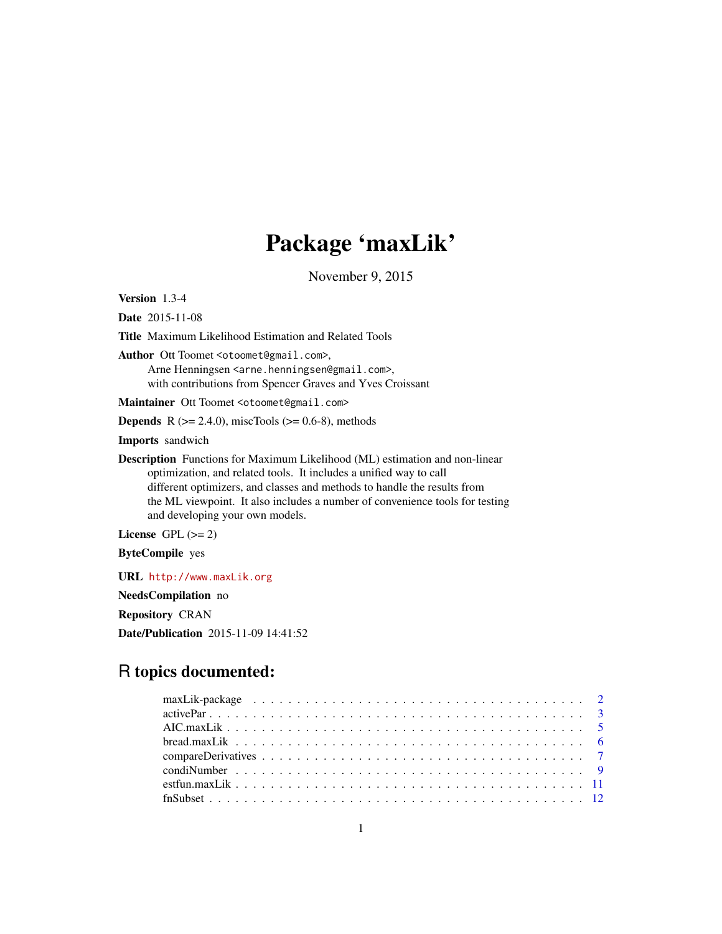# Package 'maxLik'

November 9, 2015

<span id="page-0-0"></span>Version 1.3-4

Date 2015-11-08

Title Maximum Likelihood Estimation and Related Tools

Author Ott Toomet <otoomet@gmail.com>, Arne Henningsen <arne.henningsen@gmail.com>, with contributions from Spencer Graves and Yves Croissant

Maintainer Ott Toomet <otoomet@gmail.com>

**Depends** R  $(>= 2.4.0)$ , miscTools  $(>= 0.6-8)$ , methods

Imports sandwich

Description Functions for Maximum Likelihood (ML) estimation and non-linear optimization, and related tools. It includes a unified way to call different optimizers, and classes and methods to handle the results from the ML viewpoint. It also includes a number of convenience tools for testing and developing your own models.

License GPL  $(>= 2)$ 

ByteCompile yes

URL <http://www.maxLik.org>

NeedsCompilation no

Repository CRAN

Date/Publication 2015-11-09 14:41:52

## R topics documented: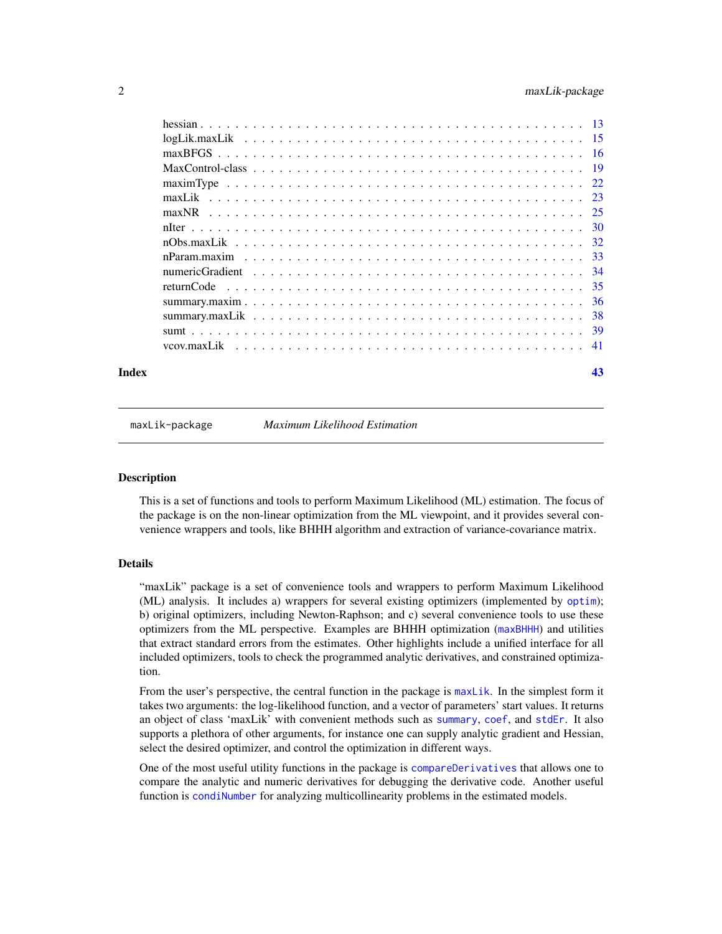<span id="page-1-0"></span>

| Index | 43 |
|-------|----|

<span id="page-1-1"></span>maxLik-package *Maximum Likelihood Estimation*

#### **Description**

This is a set of functions and tools to perform Maximum Likelihood (ML) estimation. The focus of the package is on the non-linear optimization from the ML viewpoint, and it provides several convenience wrappers and tools, like BHHH algorithm and extraction of variance-covariance matrix.

#### Details

"maxLik" package is a set of convenience tools and wrappers to perform Maximum Likelihood (ML) analysis. It includes a) wrappers for several existing optimizers (implemented by [optim](#page-0-0)); b) original optimizers, including Newton-Raphson; and c) several convenience tools to use these optimizers from the ML perspective. Examples are BHHH optimization ([maxBHHH](#page-24-1)) and utilities that extract standard errors from the estimates. Other highlights include a unified interface for all included optimizers, tools to check the programmed analytic derivatives, and constrained optimization.

From the user's perspective, the central function in the package is [maxLik](#page-22-1). In the simplest form it takes two arguments: the log-likelihood function, and a vector of parameters' start values. It returns an object of class 'maxLik' with convenient methods such as [summary](#page-0-0), [coef](#page-0-0), and [stdEr](#page-0-0). It also supports a plethora of other arguments, for instance one can supply analytic gradient and Hessian, select the desired optimizer, and control the optimization in different ways.

One of the most useful utility functions in the package is [compareDerivatives](#page-6-1) that allows one to compare the analytic and numeric derivatives for debugging the derivative code. Another useful function is [condiNumber](#page-8-1) for analyzing multicollinearity problems in the estimated models.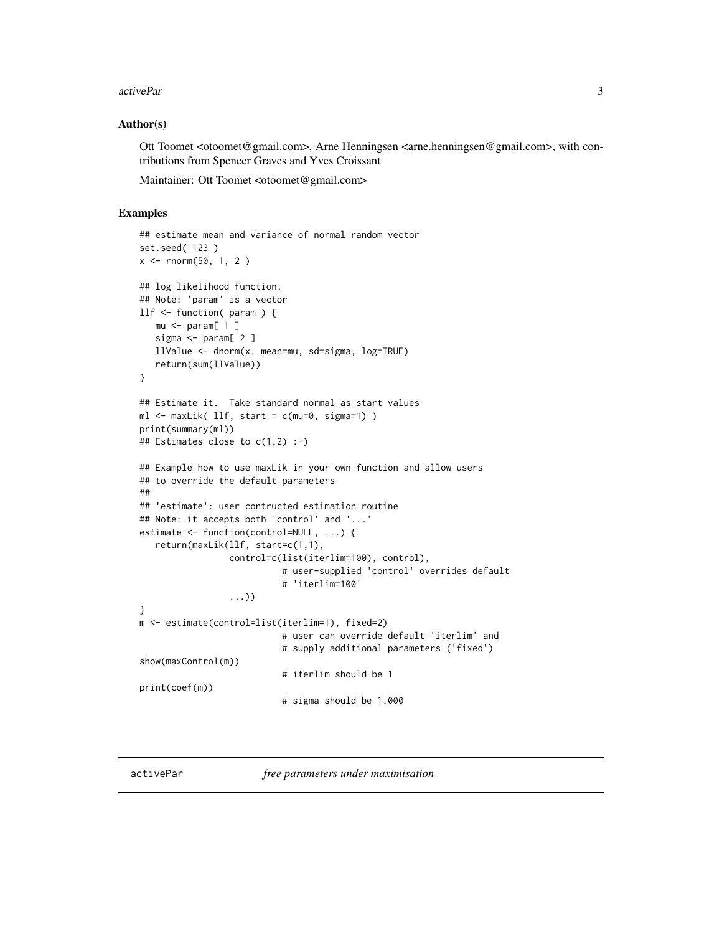#### <span id="page-2-0"></span>activePar 3

#### Author(s)

Ott Toomet <otoomet@gmail.com>, Arne Henningsen <arne.henningsen@gmail.com>, with contributions from Spencer Graves and Yves Croissant

Maintainer: Ott Toomet <otoomet@gmail.com>

#### Examples

```
## estimate mean and variance of normal random vector
set.seed( 123 )
x \le - rnorm(50, 1, 2)
## log likelihood function.
## Note: 'param' is a vector
llf <- function( param ) {
  mu < - param[ 1 ]
   sigma <- param[ 2 ]
   llValue <- dnorm(x, mean=mu, sd=sigma, log=TRUE)
   return(sum(llValue))
}
## Estimate it. Take standard normal as start values
ml \leq - \text{maxLik}( llf, start = c(mu=0, sigma=1) )print(summary(ml))
## Estimates close to c(1,2) :-)
## Example how to use maxLik in your own function and allow users
## to override the default parameters
##
## 'estimate': user contructed estimation routine
## Note: it accepts both 'control' and '...'
estimate <- function(control=NULL, ...) {
   return(maxLik(llf, start=c(1,1),
                 control=c(list(iterlim=100), control),
                           # user-supplied 'control' overrides default
                           # 'iterlim=100'
                 ...))
}
m <- estimate(control=list(iterlim=1), fixed=2)
                           # user can override default 'iterlim' and
                           # supply additional parameters ('fixed')
show(maxControl(m))
                           # iterlim should be 1
print(coef(m))
                           # sigma should be 1.000
```
<span id="page-2-1"></span>

activePar *free parameters under maximisation*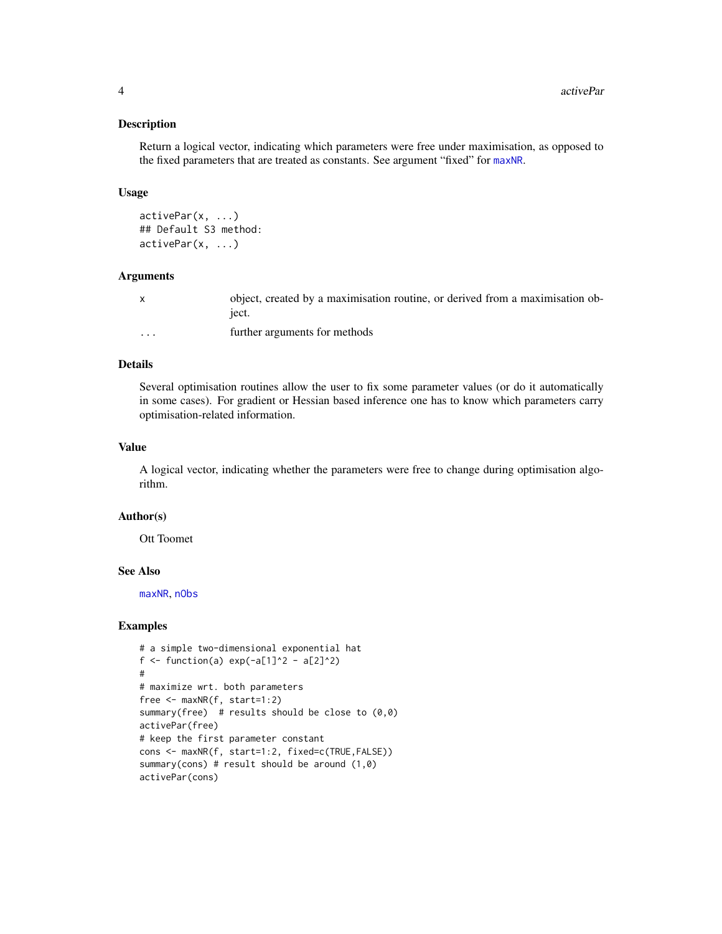#### Description

Return a logical vector, indicating which parameters were free under maximisation, as opposed to the fixed parameters that are treated as constants. See argument "fixed" for [maxNR](#page-24-2).

#### Usage

activePar(x, ...) ## Default S3 method: activePar(x, ...)

#### Arguments

|          | object, created by a maximisation routine, or derived from a maximisation ob-<br>iect. |
|----------|----------------------------------------------------------------------------------------|
| $\cdots$ | further arguments for methods                                                          |

#### Details

Several optimisation routines allow the user to fix some parameter values (or do it automatically in some cases). For gradient or Hessian based inference one has to know which parameters carry optimisation-related information.

#### Value

A logical vector, indicating whether the parameters were free to change during optimisation algorithm.

#### Author(s)

Ott Toomet

#### See Also

[maxNR](#page-24-2), [nObs](#page-0-0)

```
# a simple two-dimensional exponential hat
f <- function(a) exp(-a[1]^2 - a[2]^2)#
# maximize wrt. both parameters
free <- maxNR(f, start=1:2)
summary(free) # results should be close to (0,0)activePar(free)
# keep the first parameter constant
cons <- maxNR(f, start=1:2, fixed=c(TRUE,FALSE))
summary(cons) # result should be around (1,0)
activePar(cons)
```
<span id="page-3-0"></span>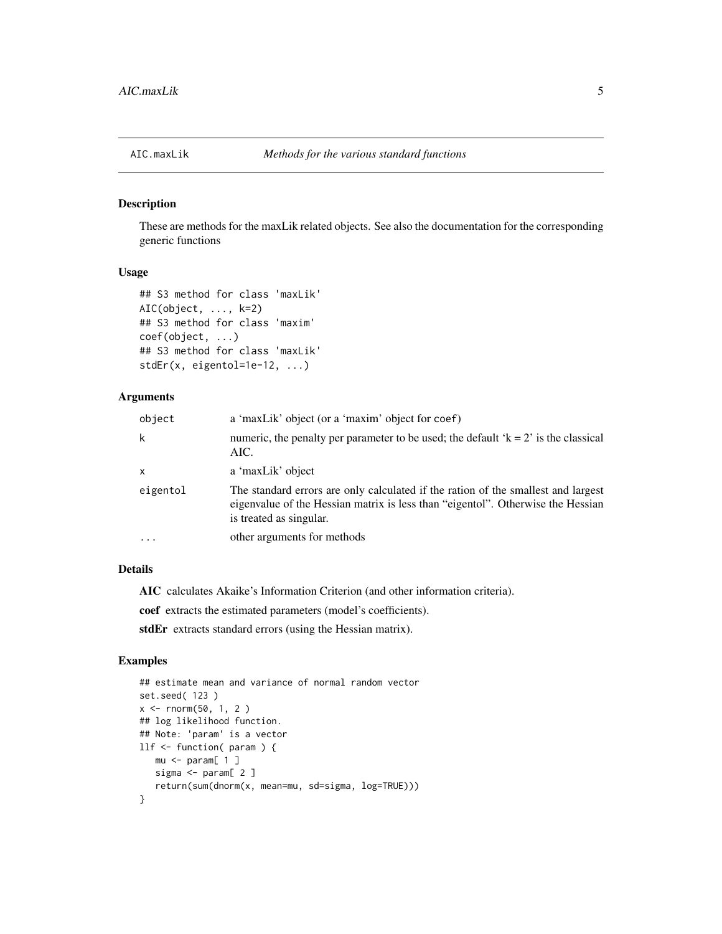<span id="page-4-0"></span>

#### Description

These are methods for the maxLik related objects. See also the documentation for the corresponding generic functions

#### Usage

```
## S3 method for class 'maxLik'
AIC(object, ..., k=2)
## S3 method for class 'maxim'
coef(object, ...)
## S3 method for class 'maxLik'
stdEr(x, eigentol=1e-12, ...)
```
#### Arguments

| object       | a 'maxLik' object (or a 'maxim' object for coef)                                                                                                                                                |
|--------------|-------------------------------------------------------------------------------------------------------------------------------------------------------------------------------------------------|
| k            | numeric, the penalty per parameter to be used; the default ' $k = 2$ ' is the classical<br>AIC.                                                                                                 |
| $\mathsf{x}$ | a 'maxLik' object                                                                                                                                                                               |
| eigentol     | The standard errors are only calculated if the ration of the smallest and largest<br>eigenvalue of the Hessian matrix is less than "eigentol". Otherwise the Hessian<br>is treated as singular. |
| $\cdots$     | other arguments for methods                                                                                                                                                                     |

#### Details

AIC calculates Akaike's Information Criterion (and other information criteria).

coef extracts the estimated parameters (model's coefficients).

stdEr extracts standard errors (using the Hessian matrix).

```
## estimate mean and variance of normal random vector
set.seed( 123 )
x < - rnorm(50, 1, 2)
## log likelihood function.
## Note: 'param' is a vector
llf <- function( param ) {
  mu < - param[ 1 ]
   sigma <- param[ 2 ]
   return(sum(dnorm(x, mean=mu, sd=sigma, log=TRUE)))
}
```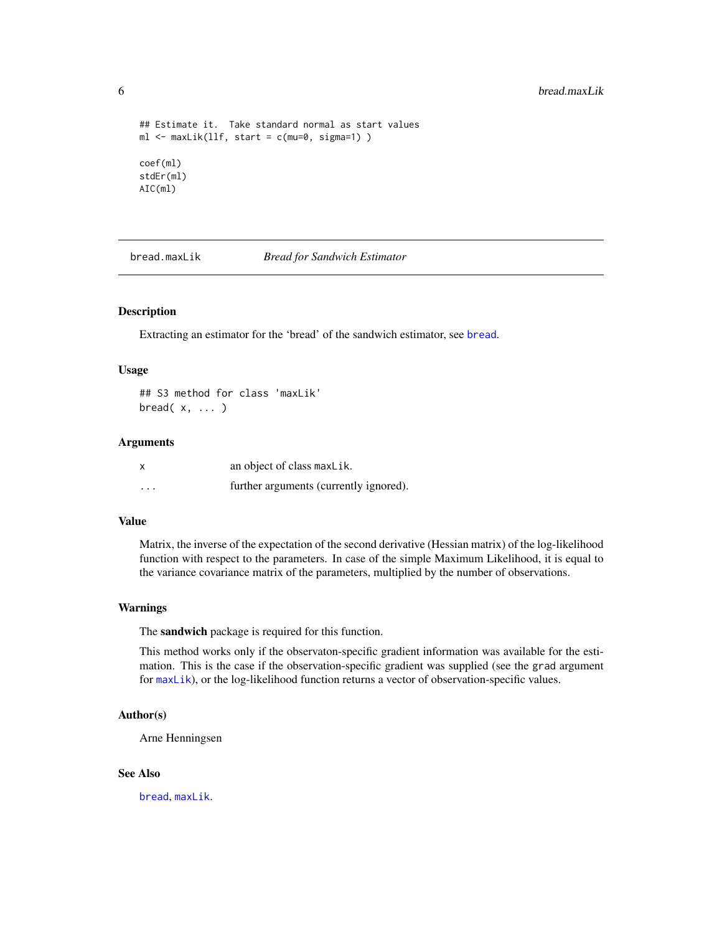```
## Estimate it. Take standard normal as start values
ml \leq maxLik(llf, start = c(mu=0, sigma=1))coef(ml)
stdEr(ml)
AIC(ml)
```
bread.maxLik *Bread for Sandwich Estimator*

#### Description

Extracting an estimator for the 'bread' of the sandwich estimator, see [bread](#page-0-0).

#### Usage

## S3 method for class 'maxLik'  $bread(x, \ldots)$ 

#### Arguments

| X        | an object of class maxLik.             |
|----------|----------------------------------------|
| $\cdots$ | further arguments (currently ignored). |

#### Value

Matrix, the inverse of the expectation of the second derivative (Hessian matrix) of the log-likelihood function with respect to the parameters. In case of the simple Maximum Likelihood, it is equal to the variance covariance matrix of the parameters, multiplied by the number of observations.

#### Warnings

The sandwich package is required for this function.

This method works only if the observaton-specific gradient information was available for the estimation. This is the case if the observation-specific gradient was supplied (see the grad argument for [maxLik](#page-22-1)), or the log-likelihood function returns a vector of observation-specific values.

#### Author(s)

Arne Henningsen

#### See Also

[bread](#page-0-0), [maxLik](#page-22-1).

<span id="page-5-0"></span>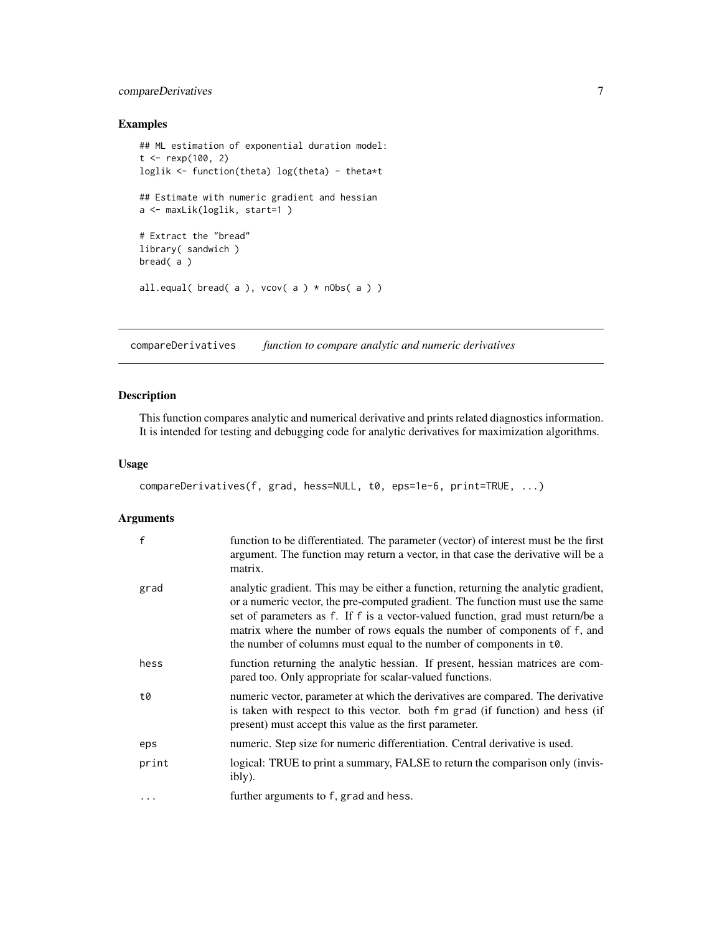#### <span id="page-6-0"></span>compareDerivatives 7

#### Examples

```
## ML estimation of exponential duration model:
t < - rexp(100, 2)
loglik <- function(theta) log(theta) - theta*t
## Estimate with numeric gradient and hessian
a <- maxLik(loglik, start=1 )
# Extract the "bread"
library( sandwich )
bread( a )
all.equal( bread( a ), vcov(a) * nObs(a) )
```
<span id="page-6-1"></span>compareDerivatives *function to compare analytic and numeric derivatives*

#### Description

This function compares analytic and numerical derivative and prints related diagnostics information. It is intended for testing and debugging code for analytic derivatives for maximization algorithms.

#### Usage

```
compareDerivatives(f, grad, hess=NULL, t0, eps=1e-6, print=TRUE, ...)
```
#### Arguments

| f     | function to be differentiated. The parameter (vector) of interest must be the first<br>argument. The function may return a vector, in that case the derivative will be a<br>matrix.                                                                                                                                                                                                                         |
|-------|-------------------------------------------------------------------------------------------------------------------------------------------------------------------------------------------------------------------------------------------------------------------------------------------------------------------------------------------------------------------------------------------------------------|
| grad  | analytic gradient. This may be either a function, returning the analytic gradient,<br>or a numeric vector, the pre-computed gradient. The function must use the same<br>set of parameters as f. If f is a vector-valued function, grad must return/be a<br>matrix where the number of rows equals the number of components of f, and<br>the number of columns must equal to the number of components in t0. |
| hess  | function returning the analytic hessian. If present, hessian matrices are com-<br>pared too. Only appropriate for scalar-valued functions.                                                                                                                                                                                                                                                                  |
| t0    | numeric vector, parameter at which the derivatives are compared. The derivative<br>is taken with respect to this vector. both fm grad (if function) and hess (if<br>present) must accept this value as the first parameter.                                                                                                                                                                                 |
| eps   | numeric. Step size for numeric differentiation. Central derivative is used.                                                                                                                                                                                                                                                                                                                                 |
| print | logical: TRUE to print a summary, FALSE to return the comparison only (invis-<br>ibly).                                                                                                                                                                                                                                                                                                                     |
| .     | further arguments to f, grad and hess.                                                                                                                                                                                                                                                                                                                                                                      |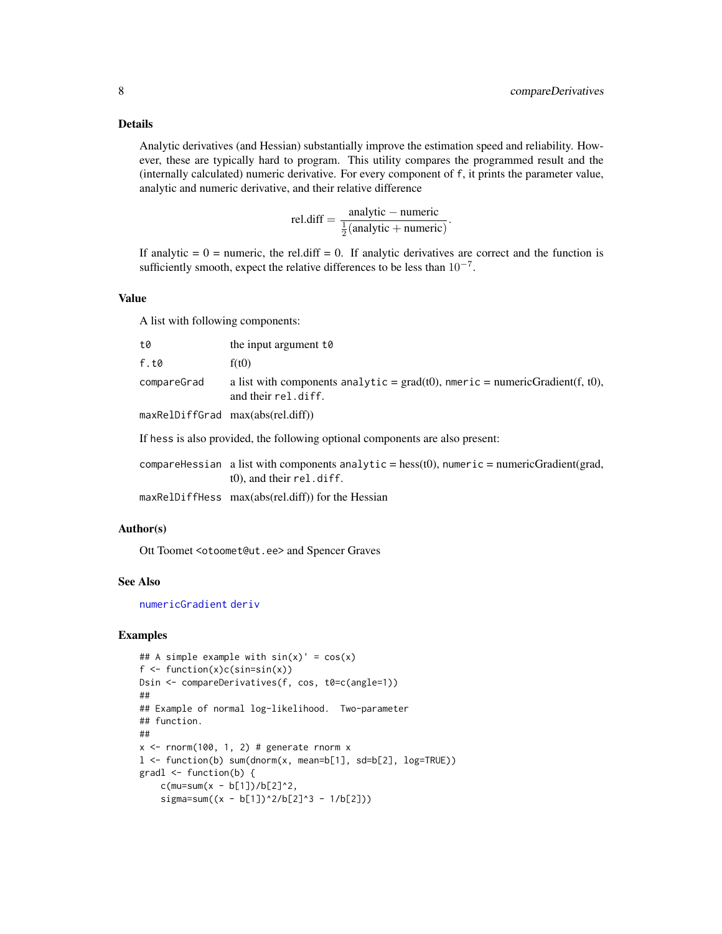#### <span id="page-7-0"></span>Details

Analytic derivatives (and Hessian) substantially improve the estimation speed and reliability. However, these are typically hard to program. This utility compares the programmed result and the (internally calculated) numeric derivative. For every component of f, it prints the parameter value, analytic and numeric derivative, and their relative difference

$$
rel.diff = \frac{analytic - numeric}{\frac{1}{2}(analytic + numeric)}
$$

.

If analytic  $= 0$  = numeric, the rel.diff  $= 0$ . If analytic derivatives are correct and the function is sufficiently smooth, expect the relative differences to be less than  $10^{-7}$ .

#### Value

A list with following components:

| t0          | the input argument to                                                                                                        |
|-------------|------------------------------------------------------------------------------------------------------------------------------|
| f.t0        | f(t0)                                                                                                                        |
| compareGrad | a list with components analytic = $\text{grad}(t0)$ , nmeric = numericGradient(f, t0),<br>and their rel.diff.                |
|             | maxRelDiffGrad max(abs(rel.diff))                                                                                            |
|             | If hess is also provided, the following optional components are also present:                                                |
|             | compareHessian a list with components analytic = $hess(t0)$ , numeric = numericGradient(grad,<br>$(0)$ , and their rel.diff. |

maxRelDiffHess max(abs(rel.diff)) for the Hessian

#### Author(s)

Ott Toomet <otoomet@ut.ee> and Spencer Graves

#### See Also

[numericGradient](#page-33-1) [deriv](#page-0-0)

```
## A simple example with sin(x)' = cos(x)f \leftarrow function(x)c(sin=sin(x))Dsin <- compareDerivatives(f, cos, t0=c(angle=1))
##
## Example of normal log-likelihood. Two-parameter
## function.
##
x \le rnorm(100, 1, 2) # generate rnorm xl <- function(b) sum(dnorm(x, mean=b[1], sd=b[2], log=TRUE))
gradl <- function(b) {
    c(mu=sum(x - b[1])/b[2]^2,signa = sum((x - b[1])^2/6[2]^3 - 1/b[2]))
```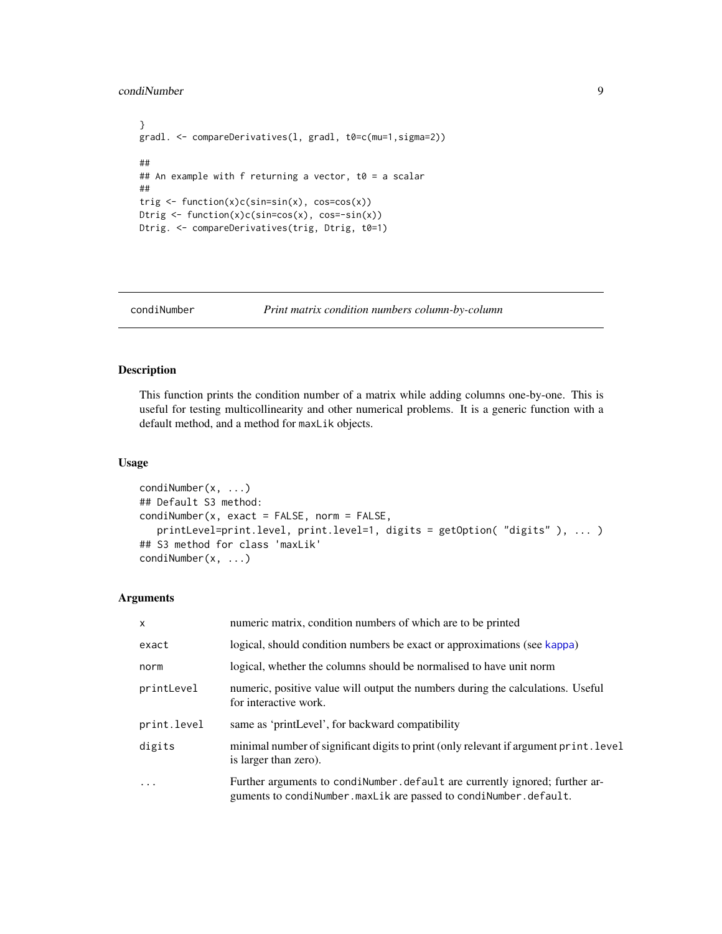#### <span id="page-8-0"></span>condiNumber 9

```
}
gradl. <- compareDerivatives(l, gradl, t0=c(mu=1,sigma=2))
##
## An example with f returning a vector, t0 = a scalar
##
trig <- function(x)c(sin=sin(x), cos=cos(x))
Dtrig <- function(x)c(sin=cos(x), cos=-sin(x))
Dtrig. <- compareDerivatives(trig, Dtrig, t0=1)
```

```
condiNumber Print matrix condition numbers column-by-column
```
#### Description

This function prints the condition number of a matrix while adding columns one-by-one. This is useful for testing multicollinearity and other numerical problems. It is a generic function with a default method, and a method for maxLik objects.

#### Usage

```
condiNumber(x, ...)
## Default S3 method:
condiNumber(x, exact = FALSE, norm = FALSE,
   printLevel=print.level, print.level=1, digits = getOption( "digits" ), ... )
## S3 method for class 'maxLik'
condiNumber(x, ...)
```
#### Arguments

| $\mathsf{x}$ | numeric matrix, condition numbers of which are to be printed                                                                                     |
|--------------|--------------------------------------------------------------------------------------------------------------------------------------------------|
| exact        | logical, should condition numbers be exact or approximations (see kappa)                                                                         |
| norm         | logical, whether the columns should be normalised to have unit norm                                                                              |
| printLevel   | numeric, positive value will output the numbers during the calculations. Useful<br>for interactive work.                                         |
| print.level  | same as 'printLevel', for backward compatibility                                                                                                 |
| digits       | minimal number of significant digits to print (only relevant if argument print. level<br>is larger than zero).                                   |
| $\ddots$ .   | Further arguments to condinamber. default are currently ignored; further ar-<br>guments to condiNumber.maxLik are passed to condiNumber.default. |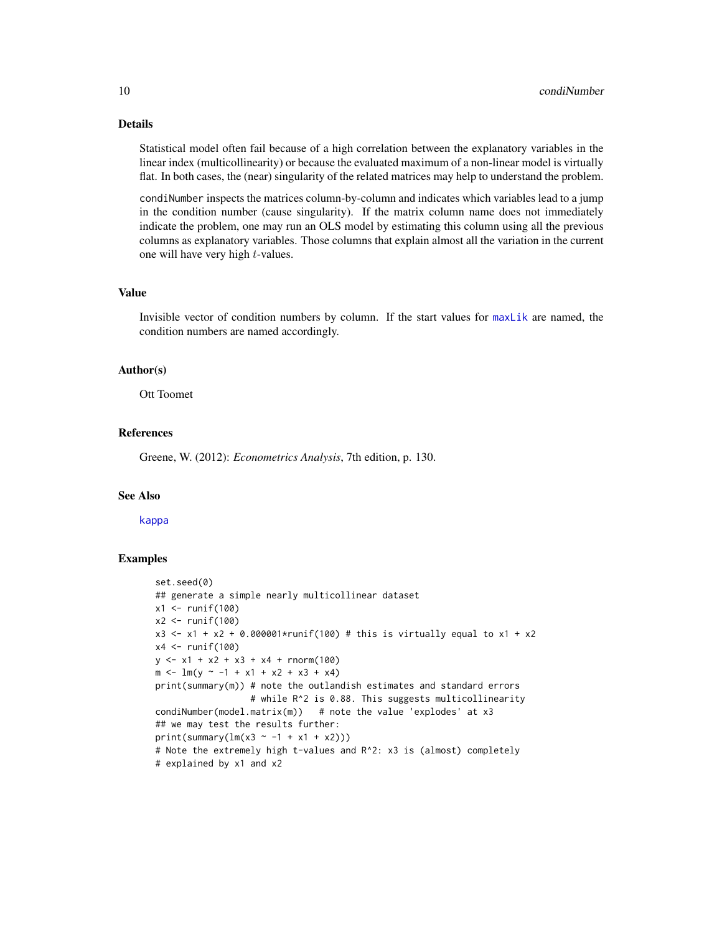#### Details

Statistical model often fail because of a high correlation between the explanatory variables in the linear index (multicollinearity) or because the evaluated maximum of a non-linear model is virtually flat. In both cases, the (near) singularity of the related matrices may help to understand the problem.

condiNumber inspects the matrices column-by-column and indicates which variables lead to a jump in the condition number (cause singularity). If the matrix column name does not immediately indicate the problem, one may run an OLS model by estimating this column using all the previous columns as explanatory variables. Those columns that explain almost all the variation in the current one will have very high t-values.

#### Value

Invisible vector of condition numbers by column. If the start values for [maxLik](#page-22-1) are named, the condition numbers are named accordingly.

#### Author(s)

Ott Toomet

#### References

Greene, W. (2012): *Econometrics Analysis*, 7th edition, p. 130.

#### See Also

[kappa](#page-0-0)

```
set.seed(0)
## generate a simple nearly multicollinear dataset
x1 \leftarrow runif(100)x2 <- runif(100)
x3 <- x1 + x2 + 0.000001*runif(100) # this is virtually equal to x1 + x2x4 \leftarrow runif(100)y \le -x1 + x2 + x3 + x4 + \text{rnorm}(100)m \le - \ln(y \sim -1 + x1 + x2 + x3 + x4)print(summary(m)) # note the outlandish estimates and standard errors
                  # while R^2 is 0.88. This suggests multicollinearity
condiNumber(model.matrix(m)) # note the value 'explodes' at x3
## we may test the results further:
print(summary(lm(x3 \sim -1 + x1 + x2)))
# Note the extremely high t-values and R^2: x3 is (almost) completely
# explained by x1 and x2
```
<span id="page-9-0"></span>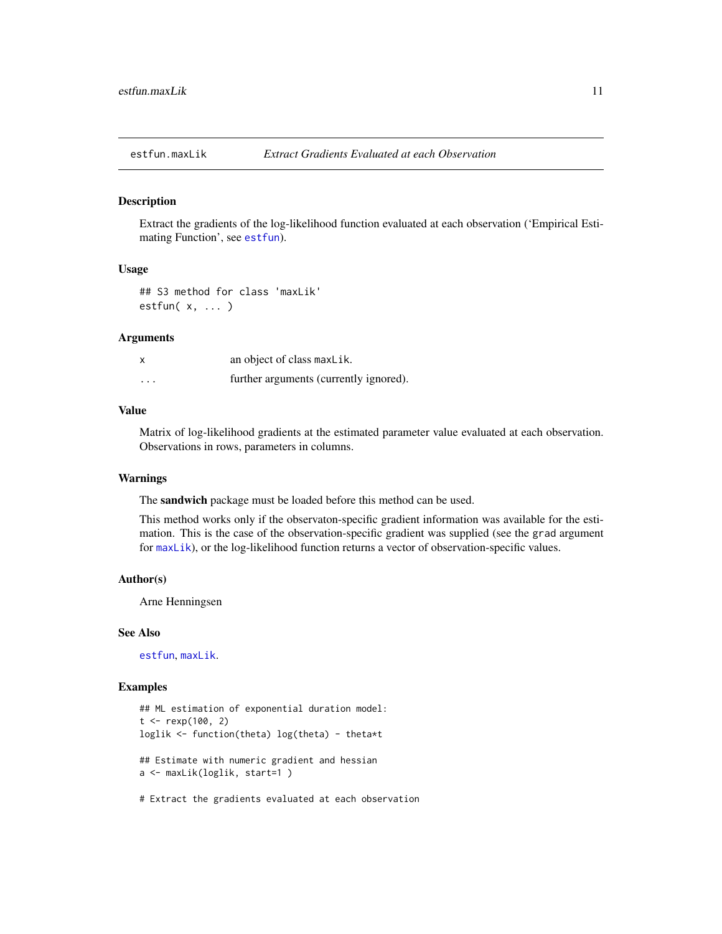<span id="page-10-0"></span>

#### Description

Extract the gradients of the log-likelihood function evaluated at each observation ('Empirical Estimating Function', see [estfun](#page-0-0)).

#### Usage

## S3 method for class 'maxLik' estfun( x, ... )

#### Arguments

| $\boldsymbol{\mathsf{x}}$ | an object of class maxLik.             |
|---------------------------|----------------------------------------|
| $\cdots$                  | further arguments (currently ignored). |

#### Value

Matrix of log-likelihood gradients at the estimated parameter value evaluated at each observation. Observations in rows, parameters in columns.

#### Warnings

The sandwich package must be loaded before this method can be used.

This method works only if the observaton-specific gradient information was available for the estimation. This is the case of the observation-specific gradient was supplied (see the grad argument for [maxLik](#page-22-1)), or the log-likelihood function returns a vector of observation-specific values.

#### Author(s)

Arne Henningsen

#### See Also

[estfun](#page-0-0), [maxLik](#page-22-1).

#### Examples

```
## ML estimation of exponential duration model:
t < - rexp(100, 2)
loglik <- function(theta) log(theta) - theta*t
## Estimate with numeric gradient and hessian
a <- maxLik(loglik, start=1 )
```
# Extract the gradients evaluated at each observation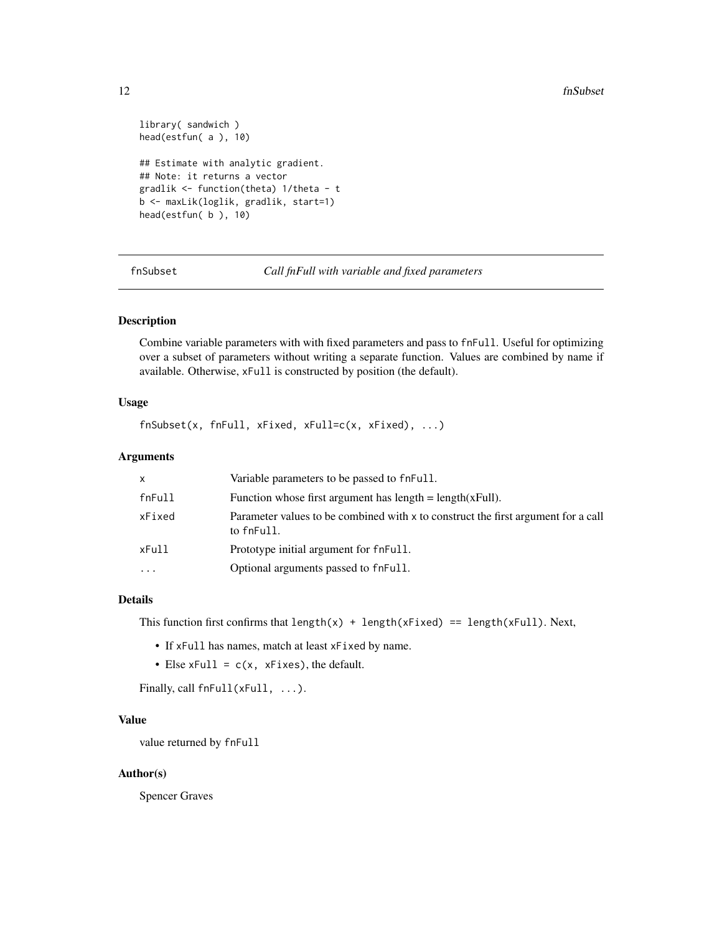```
library( sandwich )
head(estfun( a ), 10)
## Estimate with analytic gradient.
## Note: it returns a vector
gradlik <- function(theta) 1/theta - t
b <- maxLik(loglik, gradlik, start=1)
head(estfun( b ), 10)
```
fnSubset *Call fnFull with variable and fixed parameters*

#### Description

Combine variable parameters with with fixed parameters and pass to fnFull. Useful for optimizing over a subset of parameters without writing a separate function. Values are combined by name if available. Otherwise, xFull is constructed by position (the default).

#### Usage

fnSubset(x, fnFull, xFixed, xFull=c(x, xFixed), ...)

#### Arguments

| x      | Variable parameters to be passed to fneull.                                                     |
|--------|-------------------------------------------------------------------------------------------------|
| fnFull | Function whose first argument has $length = length(xFull)$ .                                    |
| xFixed | Parameter values to be combined with x to construct the first argument for a call<br>to fnFull. |
| xFull  | Prototype initial argument for fnFull.                                                          |
| .      | Optional arguments passed to fneull.                                                            |

#### Details

This function first confirms that length(x) + length(xFixed) == length(xFull). Next,

- If xFull has names, match at least xFixed by name.
- Else  $xFull = c(x, xFixes)$ , the default.

Finally, call fnFull(xFull, ...).

#### Value

value returned by fnFull

#### Author(s)

Spencer Graves

<span id="page-11-0"></span>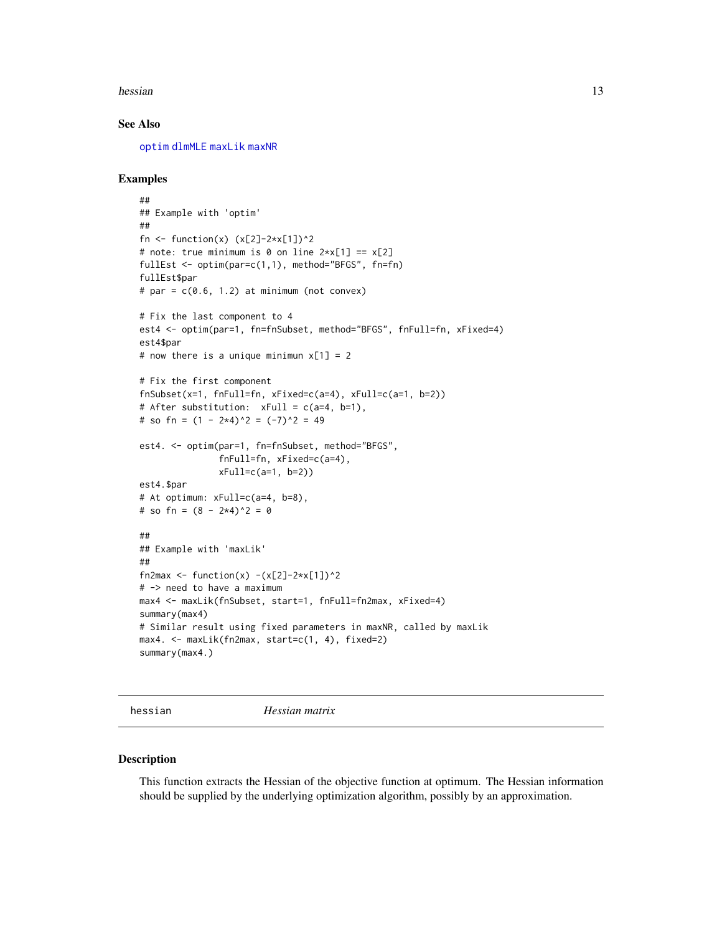<span id="page-12-0"></span>hessian and the state of the state of the state of the state of the state of the state of the state of the state of the state of the state of the state of the state of the state of the state of the state of the state of th

#### See Also

[optim](#page-0-0) [dlmMLE](#page-0-0) [maxLik](#page-22-1) [maxNR](#page-24-2)

#### Examples

```
##
## Example with 'optim'
##
fn <- function(x) (x[2]-2*x[1])^2# note: true minimum is 0 on line 2*x[1] == x[2]fullEst <- optim(par=c(1,1), method="BFGS", fn=fn)
fullEst$par
# par = c(0.6, 1.2) at minimum (not convex)
# Fix the last component to 4
est4 <- optim(par=1, fn=fnSubset, method="BFGS", fnFull=fn, xFixed=4)
est4$par
# now there is a unique minimun x[1] = 2# Fix the first component
fnSubset(x=1, fnFull=fn, xFixed=c(a=4), xFull=c(a=1, b=2))
# After substitution: xFull = c(a=4, b=1),
# so fn = (1 - 2 \times 4)^2 = (-7)^2 = 49
est4. <- optim(par=1, fn=fnSubset, method="BFGS",
               fnFull=fn, xFixed=c(a=4),
               xFull=c(a=1, b=2))
est4.$par
# At optimum: xFull=c(a=4, b=8),
# so fn = (8 - 2*4)^2 = 0##
## Example with 'maxLik'
##
fn2max <- function(x) -(x[2]-2*x[1])^2# -> need to have a maximum
max4 <- maxLik(fnSubset, start=1, fnFull=fn2max, xFixed=4)
summary(max4)
# Similar result using fixed parameters in maxNR, called by maxLik
max4. <- maxLik(fn2max, start=c(1, 4), fixed=2)
summary(max4.)
```
hessian *Hessian matrix*

#### Description

This function extracts the Hessian of the objective function at optimum. The Hessian information should be supplied by the underlying optimization algorithm, possibly by an approximation.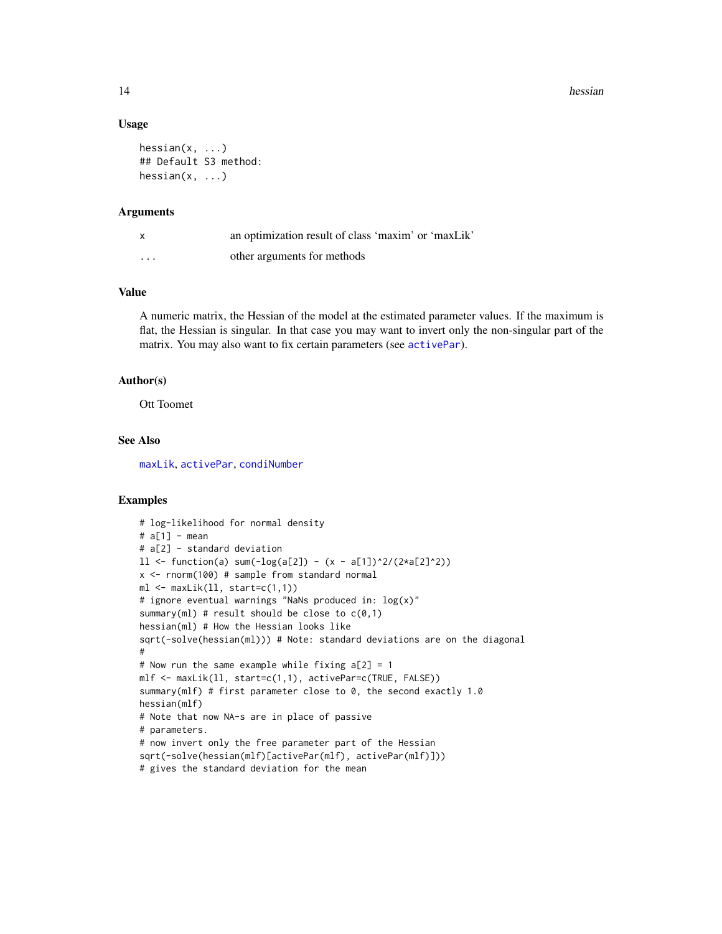#### 14 hessian between the state of the state of the state of the state of the state of the state of the state of the state of the state of the state of the state of the state of the state of the state of the state of the stat

#### Usage

```
hessian(x, \ldots)## Default S3 method:
hessian(x, ...)
```
#### Arguments

| x                       | an optimization result of class 'maxim' or 'maxLik' |
|-------------------------|-----------------------------------------------------|
| $\cdot$ $\cdot$ $\cdot$ | other arguments for methods                         |

#### Value

A numeric matrix, the Hessian of the model at the estimated parameter values. If the maximum is flat, the Hessian is singular. In that case you may want to invert only the non-singular part of the matrix. You may also want to fix certain parameters (see [activePar](#page-2-1)).

#### Author(s)

Ott Toomet

#### See Also

[maxLik](#page-22-1), [activePar](#page-2-1), [condiNumber](#page-8-1)

```
# log-likelihood for normal density
# a[1] - mean
# a[2] - standard deviation
11 \leftarrow function(a) sum(-log(a[2]) - (x - a[1])^2/(2*a[2]^2))x \le rnorm(100) # sample from standard normal
ml \leftarrow \text{maxLik}(ll, start=c(1,1))# ignore eventual warnings "NaNs produced in: log(x)"
summary(ml) # result should be close to c(0,1)hessian(ml) # How the Hessian looks like
sqrt(-solve(hessian(ml))) # Note: standard deviations are on the diagonal
#
# Now run the same example while fixing a[2] = 1mlf <- maxLik(ll, start=c(1,1), activePar=c(TRUE, FALSE))
summary(mlf) # first parameter close to 0, the second exactly 1.0
hessian(mlf)
# Note that now NA-s are in place of passive
# parameters.
# now invert only the free parameter part of the Hessian
sqrt(-solve(hessian(mlf)[activePar(mlf), activePar(mlf)]))
# gives the standard deviation for the mean
```
<span id="page-13-0"></span>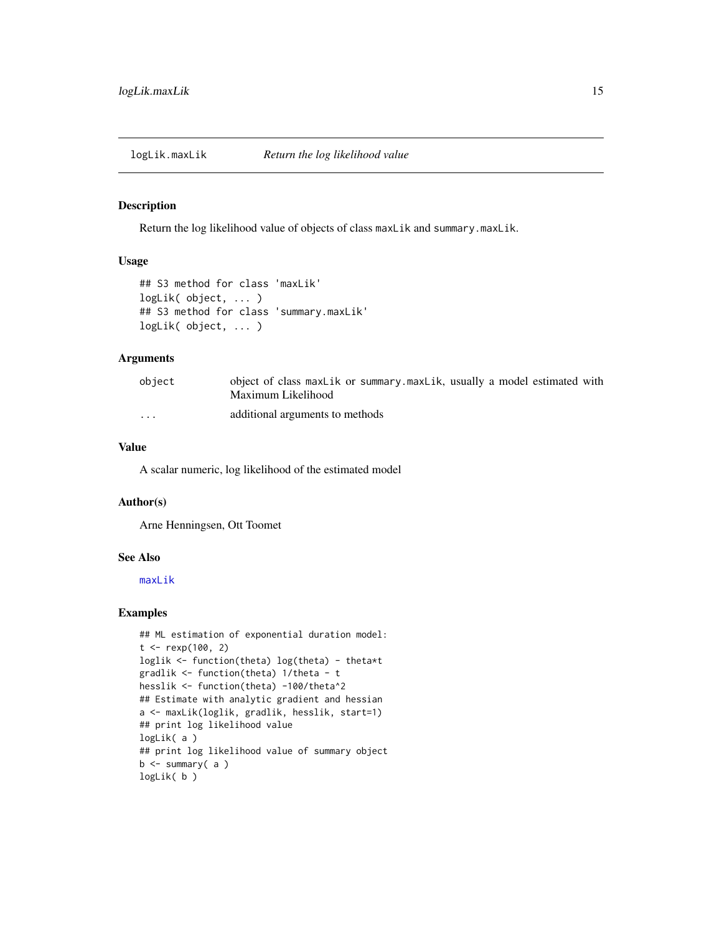<span id="page-14-0"></span>logLik.maxLik *Return the log likelihood value*

#### Description

Return the log likelihood value of objects of class maxLik and summary.maxLik.

#### Usage

```
## S3 method for class 'maxLik'
logLik( object, ... )
## S3 method for class 'summary.maxLik'
logLik( object, ... )
```
#### Arguments

| object                  | object of class maxlik or summary maxlik, usually a model estimated with<br>Maximum Likelihood |
|-------------------------|------------------------------------------------------------------------------------------------|
| $\cdot$ $\cdot$ $\cdot$ | additional arguments to methods                                                                |

#### Value

A scalar numeric, log likelihood of the estimated model

#### Author(s)

Arne Henningsen, Ott Toomet

#### See Also

[maxLik](#page-22-1)

```
## ML estimation of exponential duration model:
t < - rexp(100, 2)
loglik <- function(theta) log(theta) - theta*t
gradlik <- function(theta) 1/theta - t
hesslik <- function(theta) -100/theta^2
## Estimate with analytic gradient and hessian
a <- maxLik(loglik, gradlik, hesslik, start=1)
## print log likelihood value
logLik( a )
## print log likelihood value of summary object
b <- summary( a )
logLik( b )
```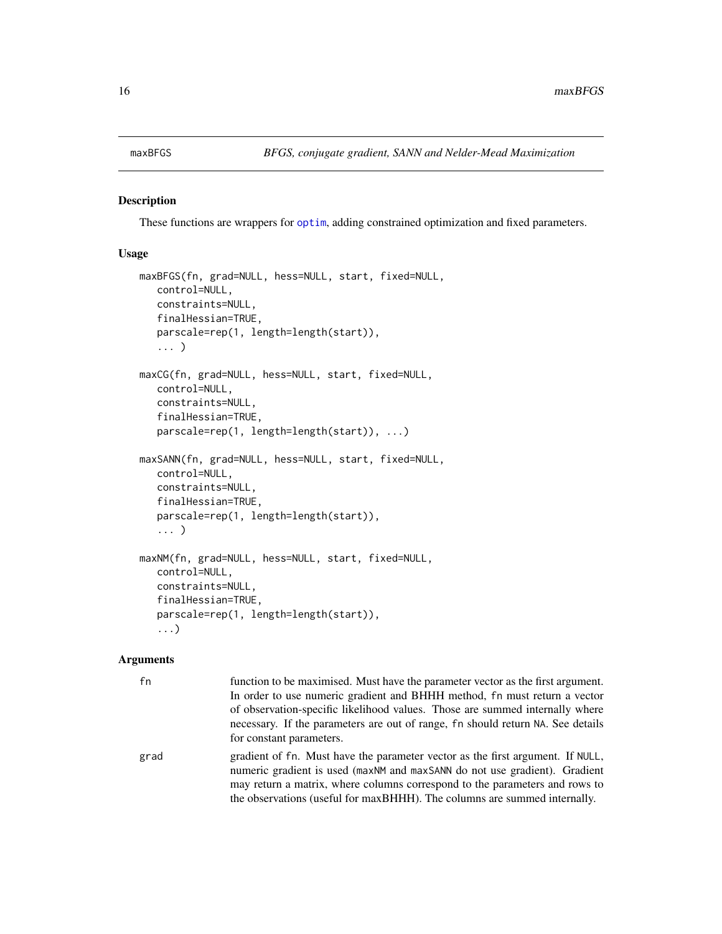#### <span id="page-15-2"></span><span id="page-15-1"></span><span id="page-15-0"></span>Description

These functions are wrappers for [optim](#page-0-0), adding constrained optimization and fixed parameters.

#### Usage

```
maxBFGS(fn, grad=NULL, hess=NULL, start, fixed=NULL,
   control=NULL,
   constraints=NULL,
   finalHessian=TRUE,
   parscale=rep(1, length=length(start)),
   ... )
maxCG(fn, grad=NULL, hess=NULL, start, fixed=NULL,
   control=NULL,
   constraints=NULL,
   finalHessian=TRUE,
   parscale=rep(1, length=length(start)), ...)
maxSANN(fn, grad=NULL, hess=NULL, start, fixed=NULL,
   control=NULL,
   constraints=NULL,
   finalHessian=TRUE,
   parscale=rep(1, length=length(start)),
   ... )
maxNM(fn, grad=NULL, hess=NULL, start, fixed=NULL,
   control=NULL,
   constraints=NULL,
   finalHessian=TRUE,
   parscale=rep(1, length=length(start)),
   ...)
```
#### Arguments

| fn   | function to be maximised. Must have the parameter vector as the first argument.<br>In order to use numeric gradient and BHHH method, fn must return a vector<br>of observation-specific likelihood values. Those are summed internally where |
|------|----------------------------------------------------------------------------------------------------------------------------------------------------------------------------------------------------------------------------------------------|
|      | necessary. If the parameters are out of range, fn should return NA. See details<br>for constant parameters.                                                                                                                                  |
| grad | gradient of fn. Must have the parameter vector as the first argument. If NULL,<br>numeric gradient is used (maxNM and maxSANN do not use gradient). Gradient<br>may return a matrix, where columns correspond to the parameters and rows to  |
|      | the observations (useful for maxBHHH). The columns are summed internally.                                                                                                                                                                    |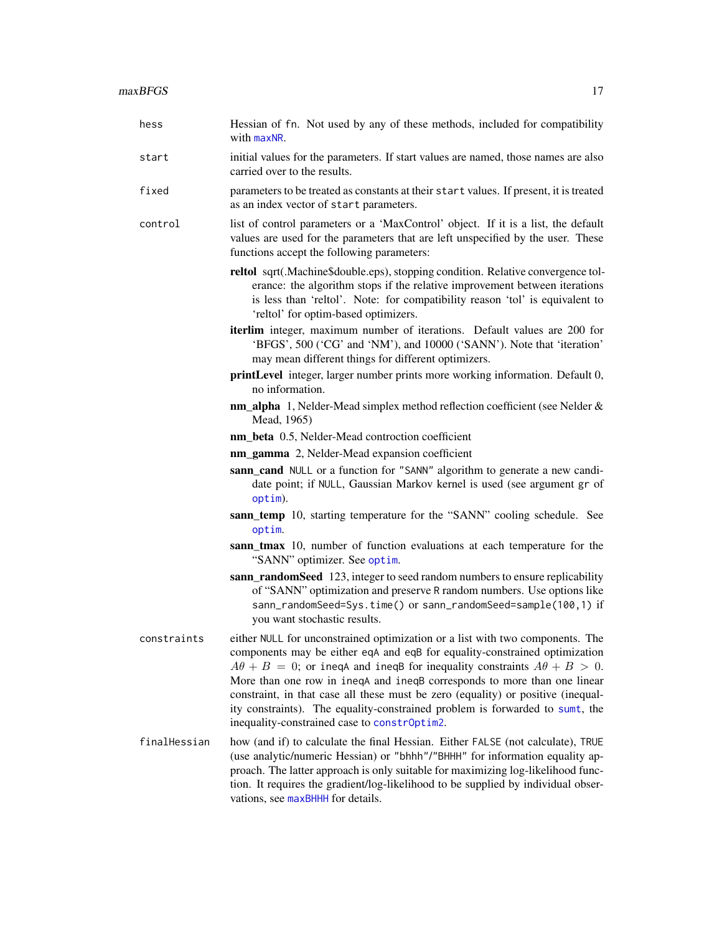<span id="page-16-0"></span>

| hess         | Hessian of fn. Not used by any of these methods, included for compatibility<br>with maxNR.                                                                                                                                                                                                                                                                                                                                                                                                                                                           |
|--------------|------------------------------------------------------------------------------------------------------------------------------------------------------------------------------------------------------------------------------------------------------------------------------------------------------------------------------------------------------------------------------------------------------------------------------------------------------------------------------------------------------------------------------------------------------|
| start        | initial values for the parameters. If start values are named, those names are also<br>carried over to the results.                                                                                                                                                                                                                                                                                                                                                                                                                                   |
| fixed        | parameters to be treated as constants at their start values. If present, it is treated<br>as an index vector of start parameters.                                                                                                                                                                                                                                                                                                                                                                                                                    |
| control      | list of control parameters or a 'MaxControl' object. If it is a list, the default<br>values are used for the parameters that are left unspecified by the user. These<br>functions accept the following parameters:                                                                                                                                                                                                                                                                                                                                   |
|              | reltol sqrt(.Machine\$double.eps), stopping condition. Relative convergence tol-<br>erance: the algorithm stops if the relative improvement between iterations<br>is less than 'reltol'. Note: for compatibility reason 'tol' is equivalent to<br>'reltol' for optim-based optimizers.                                                                                                                                                                                                                                                               |
|              | iterlim integer, maximum number of iterations. Default values are 200 for<br>'BFGS', 500 ('CG' and 'NM'), and 10000 ('SANN'). Note that 'iteration'<br>may mean different things for different optimizers.                                                                                                                                                                                                                                                                                                                                           |
|              | printLevel integer, larger number prints more working information. Default 0,<br>no information.                                                                                                                                                                                                                                                                                                                                                                                                                                                     |
|              | nm_alpha 1, Nelder-Mead simplex method reflection coefficient (see Nelder &<br>Mead, 1965)                                                                                                                                                                                                                                                                                                                                                                                                                                                           |
|              | nm_beta 0.5, Nelder-Mead controction coefficient                                                                                                                                                                                                                                                                                                                                                                                                                                                                                                     |
|              | nm_gamma 2, Nelder-Mead expansion coefficient                                                                                                                                                                                                                                                                                                                                                                                                                                                                                                        |
|              | sann_cand NULL or a function for "SANN" algorithm to generate a new candi-<br>date point; if NULL, Gaussian Markov kernel is used (see argument gr of<br>optim).                                                                                                                                                                                                                                                                                                                                                                                     |
|              | sann_temp 10, starting temperature for the "SANN" cooling schedule. See<br>optim.                                                                                                                                                                                                                                                                                                                                                                                                                                                                    |
|              | sann_tmax 10, number of function evaluations at each temperature for the<br>"SANN" optimizer. See optim.                                                                                                                                                                                                                                                                                                                                                                                                                                             |
|              | sann_randomSeed 123, integer to seed random numbers to ensure replicability<br>of "SANN" optimization and preserve R random numbers. Use options like<br>sann_randomSeed=Sys.time() or sann_randomSeed=sample(100,1) if<br>you want stochastic results.                                                                                                                                                                                                                                                                                              |
| constraints  | either NULL for unconstrained optimization or a list with two components. The<br>components may be either eqA and eqB for equality-constrained optimization<br>$A\theta + B = 0$ ; or ineqA and ineqB for inequality constraints $A\theta + B > 0$ .<br>More than one row in ineqA and ineqB corresponds to more than one linear<br>constraint, in that case all these must be zero (equality) or positive (inequal-<br>ity constraints). The equality-constrained problem is forwarded to sumt, the<br>inequality-constrained case to constrOptim2. |
| finalHessian | how (and if) to calculate the final Hessian. Either FALSE (not calculate), TRUE<br>(use analytic/numeric Hessian) or "bhhh"/"BHHH" for information equality ap-<br>proach. The latter approach is only suitable for maximizing log-likelihood func-<br>tion. It requires the gradient/log-likelihood to be supplied by individual obser-                                                                                                                                                                                                             |

vations, see [maxBHHH](#page-24-1) for details.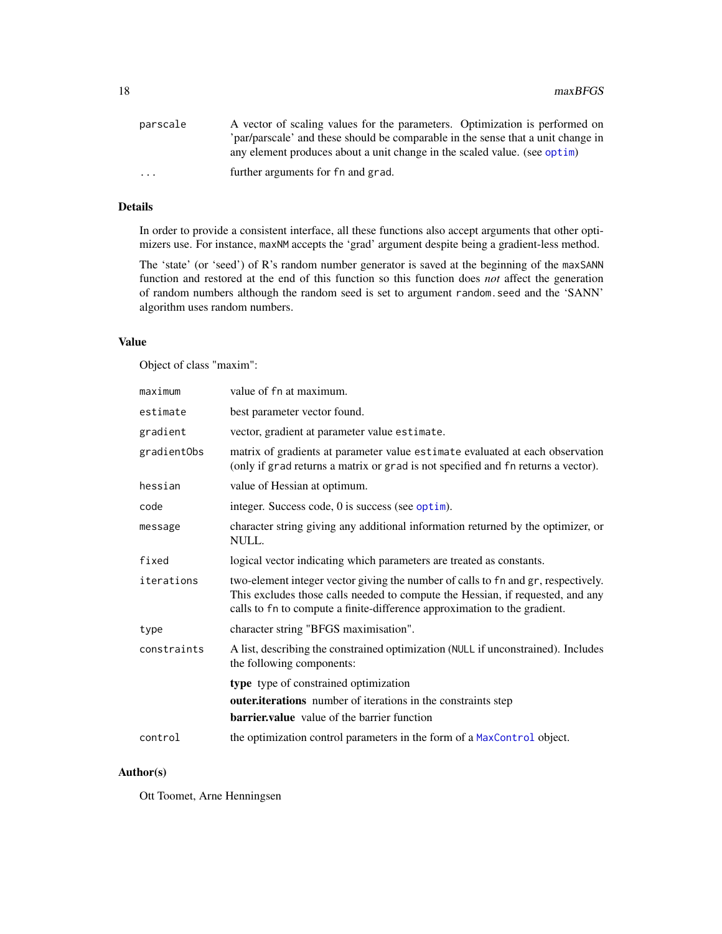<span id="page-17-0"></span>

| parscale                | A vector of scaling values for the parameters. Optimization is performed on      |
|-------------------------|----------------------------------------------------------------------------------|
|                         | 'par/parscale' and these should be comparable in the sense that a unit change in |
|                         | any element produces about a unit change in the scaled value. (see optim)        |
| $\cdot$ $\cdot$ $\cdot$ | further arguments for fn and grad.                                               |

### Details

In order to provide a consistent interface, all these functions also accept arguments that other optimizers use. For instance, maxNM accepts the 'grad' argument despite being a gradient-less method.

The 'state' (or 'seed') of R's random number generator is saved at the beginning of the maxSANN function and restored at the end of this function so this function does *not* affect the generation of random numbers although the random seed is set to argument random.seed and the 'SANN' algorithm uses random numbers.

#### Value

Object of class "maxim":

| maximum     | value of fn at maximum.                                                                                                                                                                                                                          |
|-------------|--------------------------------------------------------------------------------------------------------------------------------------------------------------------------------------------------------------------------------------------------|
| estimate    | best parameter vector found.                                                                                                                                                                                                                     |
| gradient    | vector, gradient at parameter value estimate.                                                                                                                                                                                                    |
| gradientObs | matrix of gradients at parameter value estimate evaluated at each observation<br>(only if grad returns a matrix or grad is not specified and fn returns a vector).                                                                               |
| hessian     | value of Hessian at optimum.                                                                                                                                                                                                                     |
| code        | integer. Success code, 0 is success (see optim).                                                                                                                                                                                                 |
| message     | character string giving any additional information returned by the optimizer, or<br>NULL.                                                                                                                                                        |
| fixed       | logical vector indicating which parameters are treated as constants.                                                                                                                                                                             |
| iterations  | two-element integer vector giving the number of calls to fn and gr, respectively.<br>This excludes those calls needed to compute the Hessian, if requested, and any<br>calls to fn to compute a finite-difference approximation to the gradient. |
| type        | character string "BFGS maximisation".                                                                                                                                                                                                            |
| constraints | A list, describing the constrained optimization (NULL if unconstrained). Includes<br>the following components:                                                                                                                                   |
|             | type type of constrained optimization<br>outer.iterations number of iterations in the constraints step<br><b>barrier, value</b> value of the barrier function                                                                                    |
| control     | the optimization control parameters in the form of a MaxControl object.                                                                                                                                                                          |

#### Author(s)

Ott Toomet, Arne Henningsen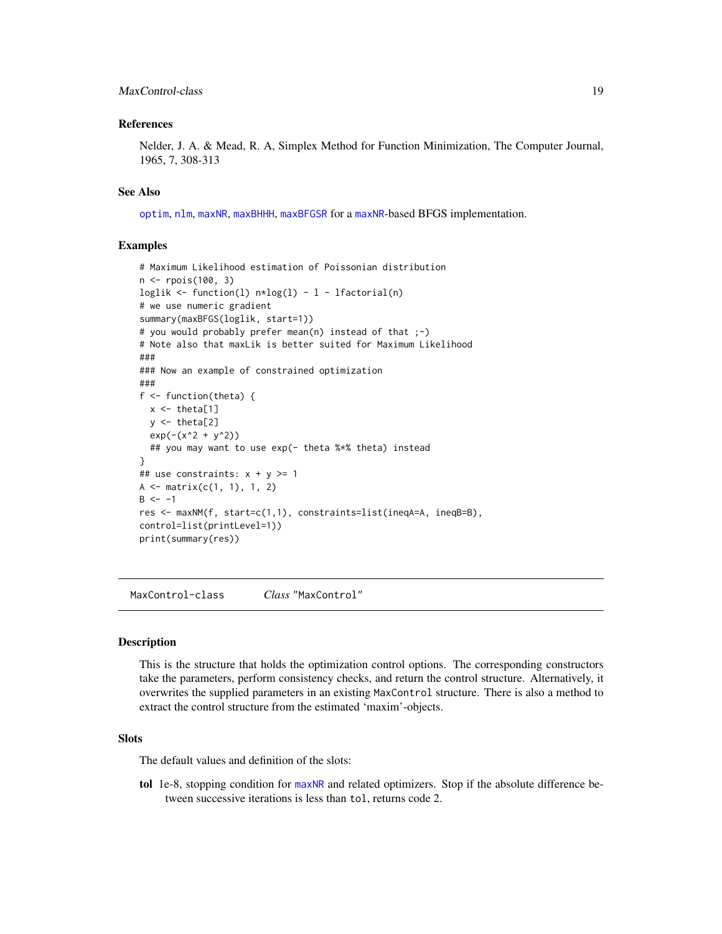#### <span id="page-18-0"></span>MaxControl-class 19

#### References

Nelder, J. A. & Mead, R. A, Simplex Method for Function Minimization, The Computer Journal, 1965, 7, 308-313

#### See Also

[optim](#page-0-0), [nlm](#page-0-0), [maxNR](#page-24-2), [maxBHHH](#page-24-1), [maxBFGSR](#page-24-1) for a [maxNR](#page-24-2)-based BFGS implementation.

#### Examples

```
# Maximum Likelihood estimation of Poissonian distribution
n <- rpois(100, 3)
loglik <- function(l) n * log(1) - 1 - 1 factorial(n)
# we use numeric gradient
summary(maxBFGS(loglik, start=1))
# you would probably prefer mean(n) instead of that ;-)
# Note also that maxLik is better suited for Maximum Likelihood
###
### Now an example of constrained optimization
###
f <- function(theta) {
 x \leftarrow \text{theta}[1]y \leftarrow \text{theta}[2]exp(-(x^2 + y^2))## you may want to use exp(- theta %*% theta) instead
}
## use constraints: x + y \ge 1A \leq matrix(c(1, 1), 1, 2)
B \le -1res <- maxNM(f, start=c(1,1), constraints=list(ineqA=A, ineqB=B),
control=list(printLevel=1))
print(summary(res))
```
MaxControl-class *Class* "MaxControl"

#### Description

This is the structure that holds the optimization control options. The corresponding constructors take the parameters, perform consistency checks, and return the control structure. Alternatively, it overwrites the supplied parameters in an existing MaxControl structure. There is also a method to extract the control structure from the estimated 'maxim'-objects.

#### **Slots**

The default values and definition of the slots:

tol 1e-8, stopping condition for [maxNR](#page-24-2) and related optimizers. Stop if the absolute difference between successive iterations is less than tol, returns code 2.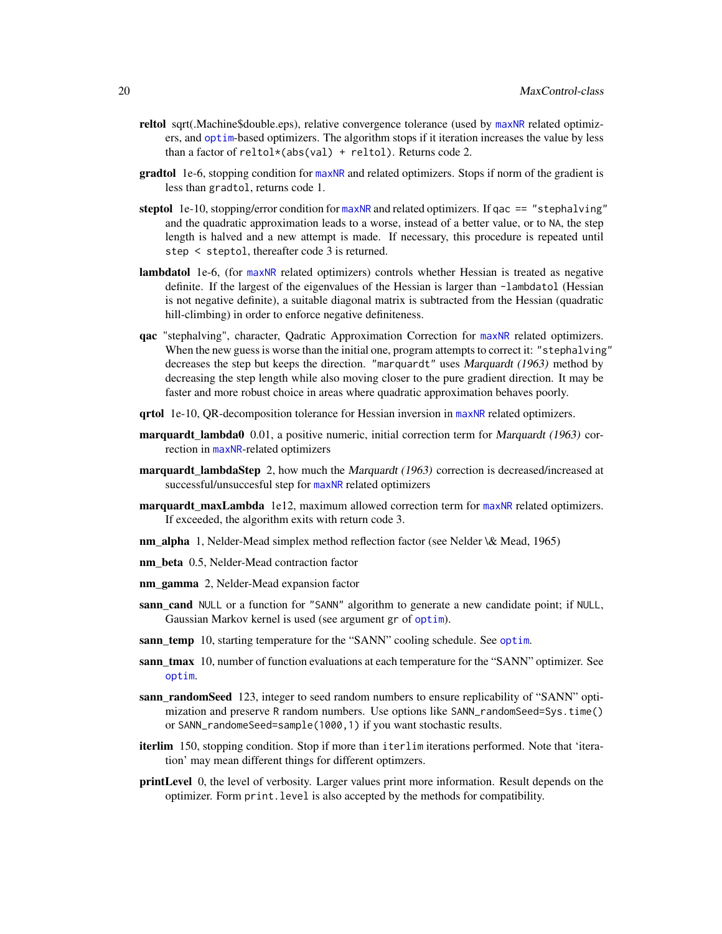- <span id="page-19-0"></span>reltol sqrt(.Machine\$double.eps), relative convergence tolerance (used by [maxNR](#page-24-2) related optimizers, and [optim](#page-0-0)-based optimizers. The algorithm stops if it iteration increases the value by less than a factor of  $reltol*(abs(val) + reltol)$ . Returns code 2.
- gradtol 1e-6, stopping condition for [maxNR](#page-24-2) and related optimizers. Stops if norm of the gradient is less than gradtol, returns code 1.
- steptol 1e-10, stopping/error condition for [maxNR](#page-24-2) and related optimizers. If  $qac == "stephalving"$ and the quadratic approximation leads to a worse, instead of a better value, or to NA, the step length is halved and a new attempt is made. If necessary, this procedure is repeated until step < steptol, thereafter code 3 is returned.
- lambdatol 1e-6, (for [maxNR](#page-24-2) related optimizers) controls whether Hessian is treated as negative definite. If the largest of the eigenvalues of the Hessian is larger than -lambdatol (Hessian is not negative definite), a suitable diagonal matrix is subtracted from the Hessian (quadratic hill-climbing) in order to enforce negative definiteness.
- qac "stephalving", character, Qadratic Approximation Correction for [maxNR](#page-24-2) related optimizers. When the new guess is worse than the initial one, program attempts to correct it: "stephalving" decreases the step but keeps the direction. "marquardt" uses Marquardt (1963) method by decreasing the step length while also moving closer to the pure gradient direction. It may be faster and more robust choice in areas where quadratic approximation behaves poorly.
- qrtol 1e-10, QR-decomposition tolerance for Hessian inversion in [maxNR](#page-24-2) related optimizers.
- marquardt\_lambda0 0.01, a positive numeric, initial correction term for Marquardt (1963) correction in [maxNR](#page-24-2)-related optimizers
- **marquardt lambdaStep** 2, how much the *Marquardt* (1963) correction is decreased/increased at successful/unsuccesful step for [maxNR](#page-24-2) related optimizers
- marquardt\_maxLambda 1e12, maximum allowed correction term for [maxNR](#page-24-2) related optimizers. If exceeded, the algorithm exits with return code 3.
- nm\_alpha 1, Nelder-Mead simplex method reflection factor (see Nelder \& Mead, 1965)
- nm\_beta 0.5, Nelder-Mead contraction factor
- nm\_gamma 2, Nelder-Mead expansion factor
- sann\_cand\_NULL or a function for "SANN" algorithm to generate a new candidate point; if NULL, Gaussian Markov kernel is used (see argument gr of [optim](#page-0-0)).
- sann\_temp 10, starting temperature for the "SANN" cooling schedule. See [optim](#page-0-0).
- sann\_tmax 10, number of function evaluations at each temperature for the "SANN" optimizer. See [optim](#page-0-0).
- sann randomSeed 123, integer to seed random numbers to ensure replicability of "SANN" optimization and preserve R random numbers. Use options like SANN\_randomSeed=Sys.time() or SANN\_randomeSeed=sample(1000,1) if you want stochastic results.
- iterlim 150, stopping condition. Stop if more than iterlim iterations performed. Note that 'iteration' may mean different things for different optimzers.
- printLevel 0, the level of verbosity. Larger values print more information. Result depends on the optimizer. Form print.level is also accepted by the methods for compatibility.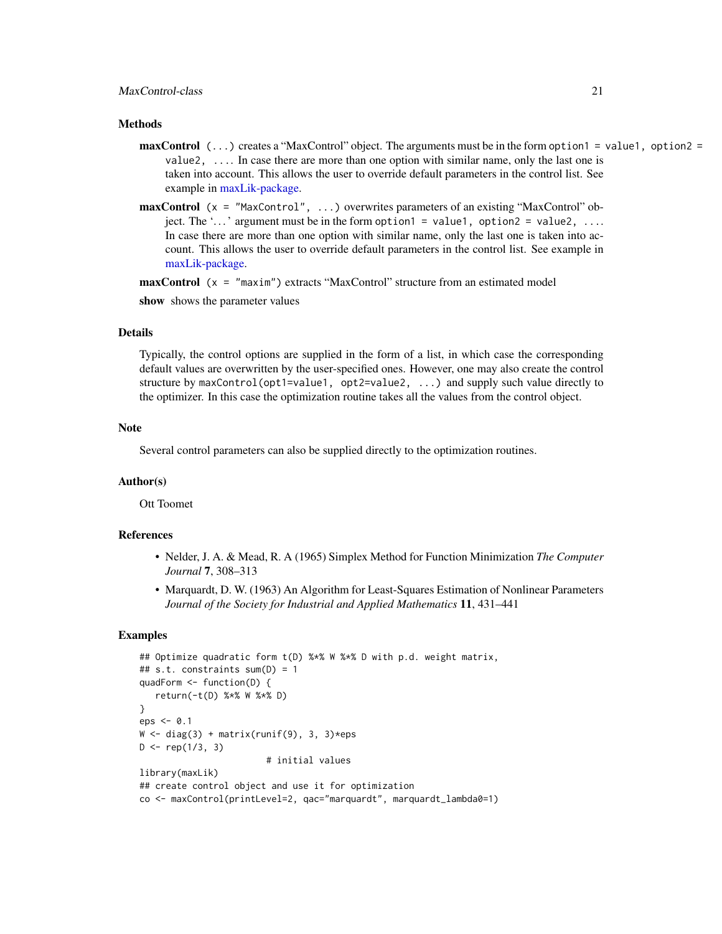#### <span id="page-20-0"></span>Methods

- **maxControl**  $($ ...) creates a "MaxControl" object. The arguments must be in the form option1 = value1, option2 = value2, .... In case there are more than one option with similar name, only the last one is taken into account. This allows the user to override default parameters in the control list. See example in [maxLik-package.](#page-1-1)
- maxControl (x = "MaxControl", ...) overwrites parameters of an existing "MaxControl" object. The '...' argument must be in the form option1 = value1, option2 = value2, ... In case there are more than one option with similar name, only the last one is taken into account. This allows the user to override default parameters in the control list. See example in [maxLik-package.](#page-1-1)

**maxControl**  $(x = "maxim")$  extracts "MaxControl" structure from an estimated model

show shows the parameter values

#### Details

Typically, the control options are supplied in the form of a list, in which case the corresponding default values are overwritten by the user-specified ones. However, one may also create the control structure by maxControl(opt1=value1, opt2=value2, ...) and supply such value directly to the optimizer. In this case the optimization routine takes all the values from the control object.

#### Note

Several control parameters can also be supplied directly to the optimization routines.

#### Author(s)

Ott Toomet

#### References

- Nelder, J. A. & Mead, R. A (1965) Simplex Method for Function Minimization *The Computer Journal* 7, 308–313
- Marquardt, D. W. (1963) An Algorithm for Least-Squares Estimation of Nonlinear Parameters *Journal of the Society for Industrial and Applied Mathematics* 11, 431–441

```
## Optimize quadratic form t(D) %*% W %*% D with p.d. weight matrix,
## s.t. constraints sum(D) = 1quadForm <- function(D) {
  return(-t(D) %*% W %*% D)
}
eps < -0.1W \leftarrow diag(3) + matrix(runif(9), 3, 3)*epsD \leq - rep(1/3, 3)# initial values
library(maxLik)
## create control object and use it for optimization
co <- maxControl(printLevel=2, qac="marquardt", marquardt_lambda0=1)
```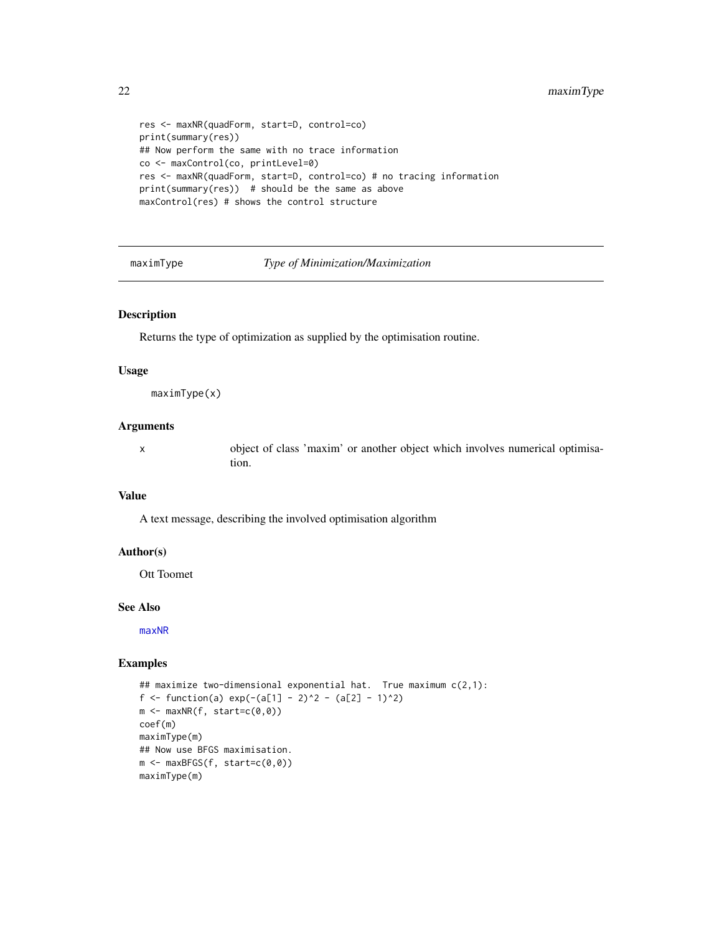```
res <- maxNR(quadForm, start=D, control=co)
print(summary(res))
## Now perform the same with no trace information
co <- maxControl(co, printLevel=0)
res <- maxNR(quadForm, start=D, control=co) # no tracing information
print(summary(res)) # should be the same as above
maxControl(res) # shows the control structure
```
maximType *Type of Minimization/Maximization*

#### Description

Returns the type of optimization as supplied by the optimisation routine.

#### Usage

maximType(x)

#### Arguments

x object of class 'maxim' or another object which involves numerical optimisation.

#### Value

A text message, describing the involved optimisation algorithm

#### Author(s)

Ott Toomet

#### See Also

[maxNR](#page-24-2)

```
## maximize two-dimensional exponential hat. True maximum c(2,1):
f <- function(a) exp(-(a[1] - 2)^2 - (a[2] - 1)^2)m \leftarrow maxNR(f, start=c(0,0))coef(m)
maximType(m)
## Now use BFGS maximisation.
m \leftarrow maxBFGS(f, start=c(0,0))maximType(m)
```
<span id="page-21-0"></span>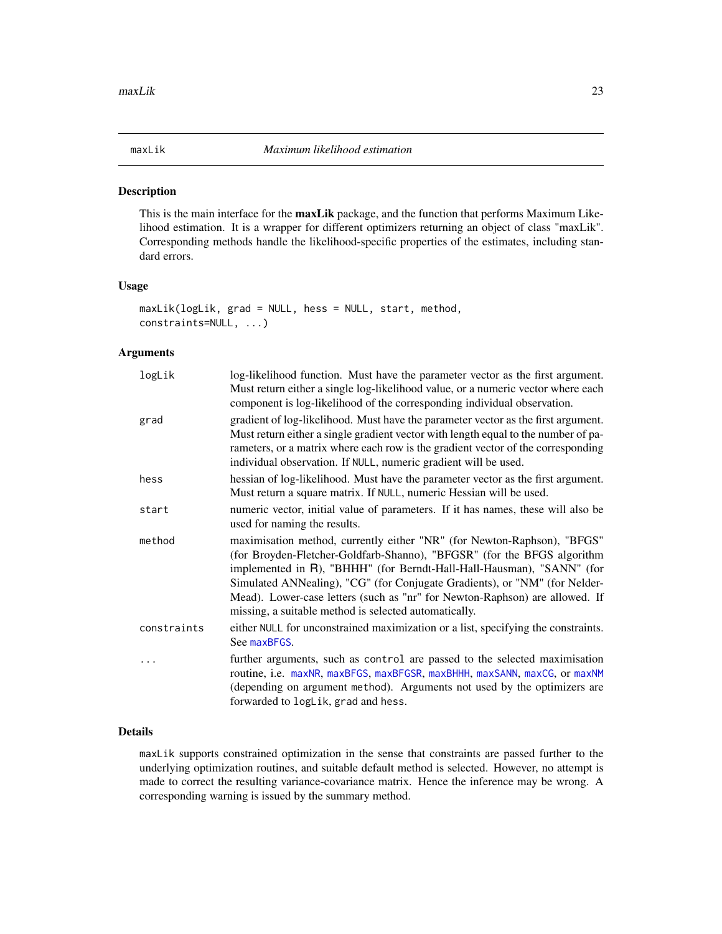<span id="page-22-1"></span><span id="page-22-0"></span>

#### Description

This is the main interface for the **maxLik** package, and the function that performs Maximum Likelihood estimation. It is a wrapper for different optimizers returning an object of class "maxLik". Corresponding methods handle the likelihood-specific properties of the estimates, including standard errors.

#### Usage

```
maxLik(logLik, grad = NULL, hess = NULL, start, method,
constraints=NULL, ...)
```
#### Arguments

| logLik      | log-likelihood function. Must have the parameter vector as the first argument.<br>Must return either a single log-likelihood value, or a numeric vector where each<br>component is log-likelihood of the corresponding individual observation.                                                                                                                                                                                                    |
|-------------|---------------------------------------------------------------------------------------------------------------------------------------------------------------------------------------------------------------------------------------------------------------------------------------------------------------------------------------------------------------------------------------------------------------------------------------------------|
| grad        | gradient of log-likelihood. Must have the parameter vector as the first argument.<br>Must return either a single gradient vector with length equal to the number of pa-<br>rameters, or a matrix where each row is the gradient vector of the corresponding<br>individual observation. If NULL, numeric gradient will be used.                                                                                                                    |
| hess        | hessian of log-likelihood. Must have the parameter vector as the first argument.<br>Must return a square matrix. If NULL, numeric Hessian will be used.                                                                                                                                                                                                                                                                                           |
| start       | numeric vector, initial value of parameters. If it has names, these will also be<br>used for naming the results.                                                                                                                                                                                                                                                                                                                                  |
| method      | maximisation method, currently either "NR" (for Newton-Raphson), "BFGS"<br>(for Broyden-Fletcher-Goldfarb-Shanno), "BFGSR" (for the BFGS algorithm<br>implemented in R), "BHHH" (for Berndt-Hall-Hall-Hausman), "SANN" (for<br>Simulated ANNealing), "CG" (for Conjugate Gradients), or "NM" (for Nelder-<br>Mead). Lower-case letters (such as "nr" for Newton-Raphson) are allowed. If<br>missing, a suitable method is selected automatically. |
| constraints | either NULL for unconstrained maximization or a list, specifying the constraints.<br>See maxBFGS.                                                                                                                                                                                                                                                                                                                                                 |
|             | further arguments, such as control are passed to the selected maximisation<br>routine, i.e. maxNR, maxBFGS, maxBFGSR, maxBHHH, maxSANN, maxCG, or maxNM<br>(depending on argument method). Arguments not used by the optimizers are<br>forwarded to logLik, grad and hess.                                                                                                                                                                        |

#### Details

maxLik supports constrained optimization in the sense that constraints are passed further to the underlying optimization routines, and suitable default method is selected. However, no attempt is made to correct the resulting variance-covariance matrix. Hence the inference may be wrong. A corresponding warning is issued by the summary method.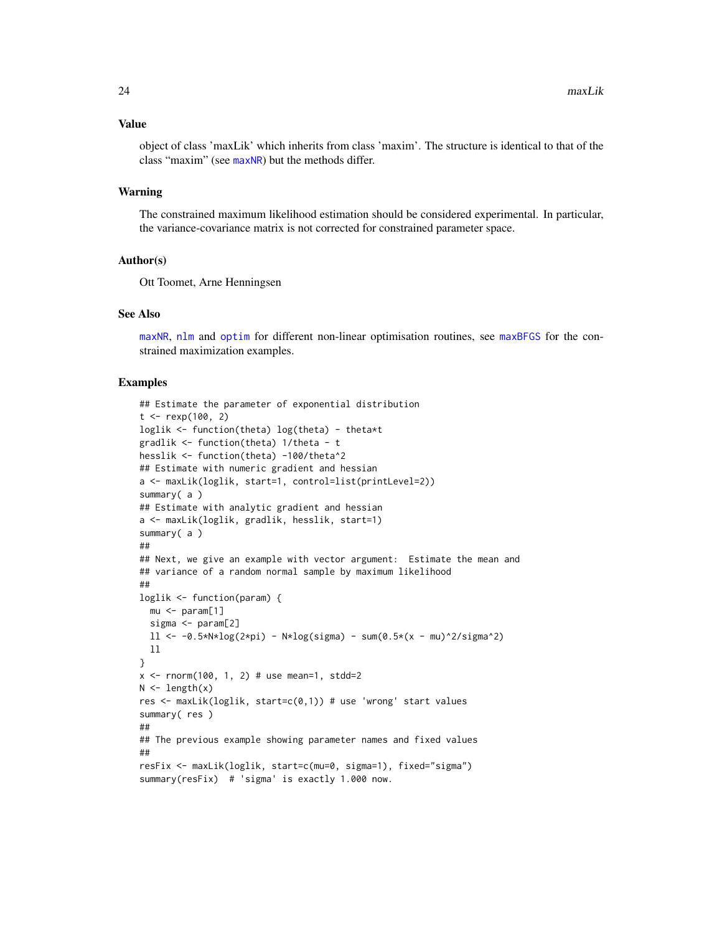#### <span id="page-23-0"></span>Value

object of class 'maxLik' which inherits from class 'maxim'. The structure is identical to that of the class "maxim" (see [maxNR](#page-24-2)) but the methods differ.

#### Warning

The constrained maximum likelihood estimation should be considered experimental. In particular, the variance-covariance matrix is not corrected for constrained parameter space.

#### Author(s)

Ott Toomet, Arne Henningsen

#### See Also

[maxNR](#page-24-2), [nlm](#page-0-0) and [optim](#page-0-0) for different non-linear optimisation routines, see [maxBFGS](#page-15-1) for the constrained maximization examples.

```
## Estimate the parameter of exponential distribution
t < - rexp(100, 2)
loglik <- function(theta) log(theta) - theta*t
gradlik <- function(theta) 1/theta - t
hesslik <- function(theta) -100/theta^2
## Estimate with numeric gradient and hessian
a <- maxLik(loglik, start=1, control=list(printLevel=2))
summary(a)
## Estimate with analytic gradient and hessian
a <- maxLik(loglik, gradlik, hesslik, start=1)
summary(a)
##
## Next, we give an example with vector argument: Estimate the mean and
## variance of a random normal sample by maximum likelihood
##
loglik <- function(param) {
  mu <- param[1]
  sigma <- param[2]
  11 \le -0.5*N*log(2*pi) - N*log(sigma) - sum(0.5*(x - mu)^2/sigma^2)ll
}
x \le - rnorm(100, 1, 2) # use mean=1, stdd=2
N \leftarrow length(x)res <- maxLik(loglik, start=c(0,1)) # use 'wrong' start values
summary( res )
##
## The previous example showing parameter names and fixed values
##
resFix <- maxLik(loglik, start=c(mu=0, sigma=1), fixed="sigma")
summary(resFix) # 'sigma' is exactly 1.000 now.
```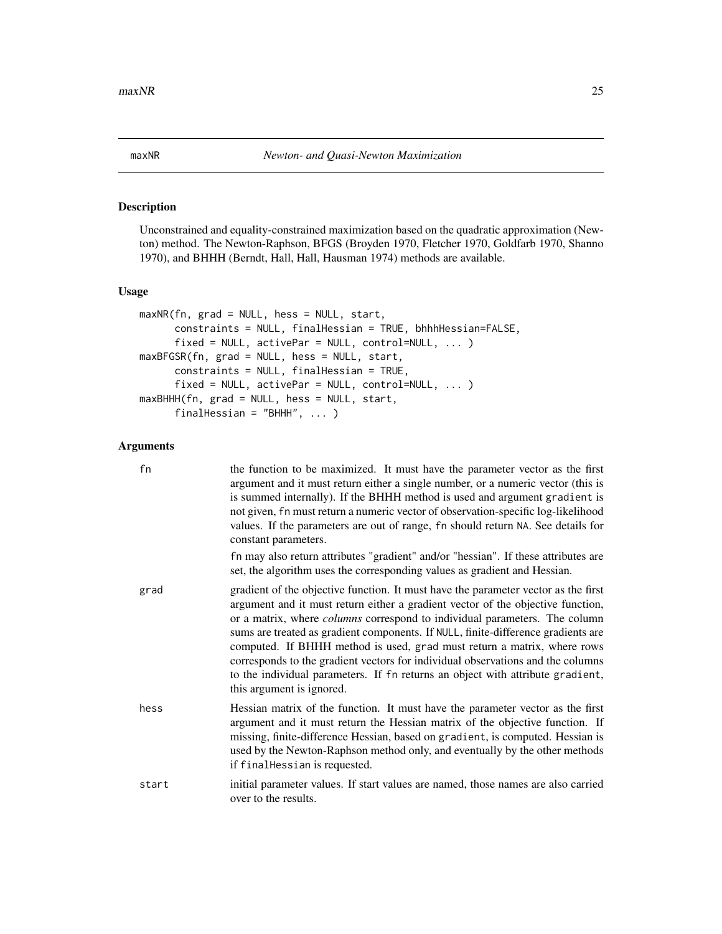<span id="page-24-2"></span><span id="page-24-0"></span>

#### <span id="page-24-1"></span>Description

Unconstrained and equality-constrained maximization based on the quadratic approximation (Newton) method. The Newton-Raphson, BFGS (Broyden 1970, Fletcher 1970, Goldfarb 1970, Shanno 1970), and BHHH (Berndt, Hall, Hall, Hausman 1974) methods are available.

#### Usage

```
maxNR(fn, grad = NULL, hess = NULL, start,
      constraints = NULL, finalHessian = TRUE, bhhhHessian=FALSE,
      fixed = NULL, activePar = NULL, control=NULL, ... )
maxBFGSR(fn, grad = NULL, hess = NULL, start,
      constraints = NULL, finalHessian = TRUE,
      fixed = NULL, activePar = NULL, control=NULL, ... )
maxBHHH(fn, grad = NULL, hess = NULL, start,
      finalHessian = "BHHH", ... )
```
#### Arguments

| fn    | the function to be maximized. It must have the parameter vector as the first<br>argument and it must return either a single number, or a numeric vector (this is<br>is summed internally). If the BHHH method is used and argument gradient is<br>not given, fn must return a numeric vector of observation-specific log-likelihood<br>values. If the parameters are out of range, fn should return NA. See details for<br>constant parameters.                                                                                                                                                                              |
|-------|------------------------------------------------------------------------------------------------------------------------------------------------------------------------------------------------------------------------------------------------------------------------------------------------------------------------------------------------------------------------------------------------------------------------------------------------------------------------------------------------------------------------------------------------------------------------------------------------------------------------------|
|       | fn may also return attributes "gradient" and/or "hessian". If these attributes are<br>set, the algorithm uses the corresponding values as gradient and Hessian.                                                                                                                                                                                                                                                                                                                                                                                                                                                              |
| grad  | gradient of the objective function. It must have the parameter vector as the first<br>argument and it must return either a gradient vector of the objective function,<br>or a matrix, where <i>columns</i> correspond to individual parameters. The column<br>sums are treated as gradient components. If NULL, finite-difference gradients are<br>computed. If BHHH method is used, grad must return a matrix, where rows<br>corresponds to the gradient vectors for individual observations and the columns<br>to the individual parameters. If fn returns an object with attribute gradient,<br>this argument is ignored. |
| hess  | Hessian matrix of the function. It must have the parameter vector as the first<br>argument and it must return the Hessian matrix of the objective function. If<br>missing, finite-difference Hessian, based on gradient, is computed. Hessian is<br>used by the Newton-Raphson method only, and eventually by the other methods<br>if finalHessian is requested.                                                                                                                                                                                                                                                             |
| start | initial parameter values. If start values are named, those names are also carried<br>over to the results.                                                                                                                                                                                                                                                                                                                                                                                                                                                                                                                    |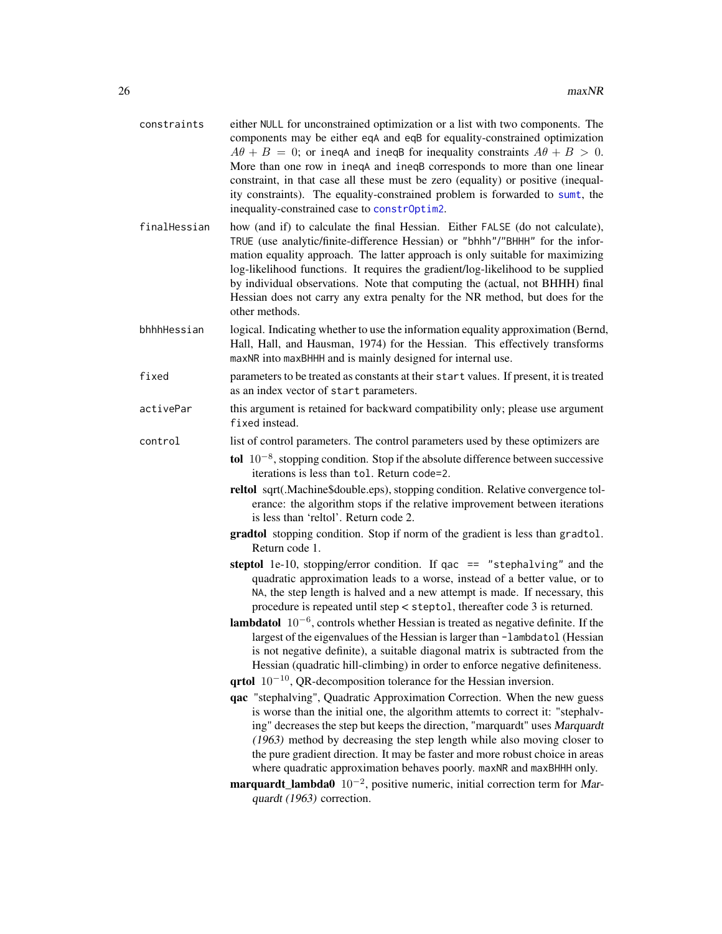<span id="page-25-0"></span>

| constraints  | either NULL for unconstrained optimization or a list with two components. The<br>components may be either eqA and eqB for equality-constrained optimization<br>$A\theta + B = 0$ ; or ineqA and ineqB for inequality constraints $A\theta + B > 0$ .<br>More than one row in ineqA and ineqB corresponds to more than one linear<br>constraint, in that case all these must be zero (equality) or positive (inequal-<br>ity constraints). The equality-constrained problem is forwarded to sumt, the<br>inequality-constrained case to constrOptim2. |
|--------------|------------------------------------------------------------------------------------------------------------------------------------------------------------------------------------------------------------------------------------------------------------------------------------------------------------------------------------------------------------------------------------------------------------------------------------------------------------------------------------------------------------------------------------------------------|
| finalHessian | how (and if) to calculate the final Hessian. Either FALSE (do not calculate),<br>TRUE (use analytic/finite-difference Hessian) or "bhhh"/"BHHH" for the infor-<br>mation equality approach. The latter approach is only suitable for maximizing<br>log-likelihood functions. It requires the gradient/log-likelihood to be supplied<br>by individual observations. Note that computing the (actual, not BHHH) final<br>Hessian does not carry any extra penalty for the NR method, but does for the<br>other methods.                                |
| bhhhHessian  | logical. Indicating whether to use the information equality approximation (Bernd,<br>Hall, Hall, and Hausman, 1974) for the Hessian. This effectively transforms<br>maxNR into maxBHHH and is mainly designed for internal use.                                                                                                                                                                                                                                                                                                                      |
| fixed        | parameters to be treated as constants at their start values. If present, it is treated<br>as an index vector of start parameters.                                                                                                                                                                                                                                                                                                                                                                                                                    |
| activePar    | this argument is retained for backward compatibility only; please use argument<br>fixed instead.                                                                                                                                                                                                                                                                                                                                                                                                                                                     |
| control      | list of control parameters. The control parameters used by these optimizers are                                                                                                                                                                                                                                                                                                                                                                                                                                                                      |
|              | tol $10^{-8}$ , stopping condition. Stop if the absolute difference between successive<br>iterations is less than tol. Return code=2.                                                                                                                                                                                                                                                                                                                                                                                                                |
|              | reltol sqrt(.Machine\$double.eps), stopping condition. Relative convergence tol-<br>erance: the algorithm stops if the relative improvement between iterations<br>is less than 'reltol'. Return code 2.                                                                                                                                                                                                                                                                                                                                              |
|              | gradtol stopping condition. Stop if norm of the gradient is less than gradtol.<br>Return code 1.                                                                                                                                                                                                                                                                                                                                                                                                                                                     |
|              | steptol 1e-10, stopping/error condition. If $qac == "stephalving"$ and the<br>quadratic approximation leads to a worse, instead of a better value, or to<br>NA, the step length is halved and a new attempt is made. If necessary, this<br>procedure is repeated until step < steptol, thereafter code 3 is returned.                                                                                                                                                                                                                                |
|              | <b>lambdatol</b> $10^{-6}$ , controls whether Hessian is treated as negative definite. If the<br>largest of the eigenvalues of the Hessian is larger than -lambdatol (Hessian<br>is not negative definite), a suitable diagonal matrix is subtracted from the<br>Hessian (quadratic hill-climbing) in order to enforce negative definiteness.                                                                                                                                                                                                        |
|              | $\mathbf{q}$ rtol $10^{-10}$ , QR-decomposition tolerance for the Hessian inversion.                                                                                                                                                                                                                                                                                                                                                                                                                                                                 |
|              | qac "stephalving", Quadratic Approximation Correction. When the new guess<br>is worse than the initial one, the algorithm attemts to correct it: "stephalv-<br>ing" decreases the step but keeps the direction, "marquardt" uses Marquardt<br>(1963) method by decreasing the step length while also moving closer to<br>the pure gradient direction. It may be faster and more robust choice in areas<br>where quadratic approximation behaves poorly. maxNR and maxBHHH only.                                                                      |
|              | <b>marquardt_lambda0</b> $10^{-2}$ , positive numeric, initial correction term for Mar-<br>quardt (1963) correction.                                                                                                                                                                                                                                                                                                                                                                                                                                 |
|              |                                                                                                                                                                                                                                                                                                                                                                                                                                                                                                                                                      |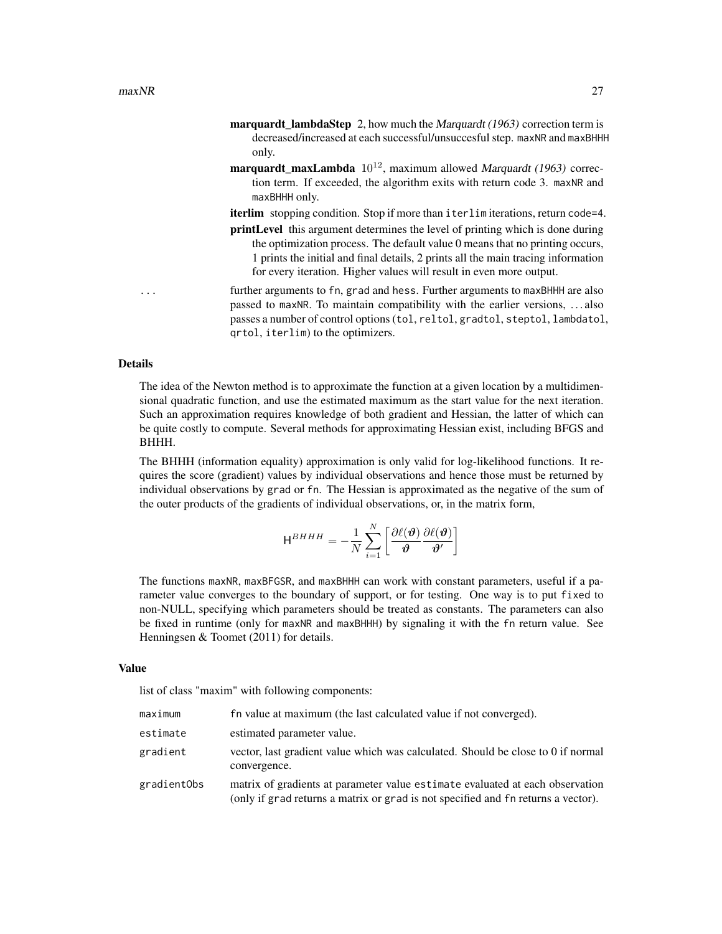- marquardt\_lambdaStep 2, how much the Marquardt (1963) correction term is decreased/increased at each successful/unsuccesful step. maxNR and maxBHHH only.
- marquardt\_maxLambda  $10^{12}$ , maximum allowed Marquardt (1963) correction term. If exceeded, the algorithm exits with return code 3. maxNR and maxBHHH only.
- iterlim stopping condition. Stop if more than iterlim iterations, return code=4.
- printLevel this argument determines the level of printing which is done during the optimization process. The default value 0 means that no printing occurs, 1 prints the initial and final details, 2 prints all the main tracing information for every iteration. Higher values will result in even more output.
- further arguments to fn, grad and hess. Further arguments to maxBHHH are also passed to maxNR. To maintain compatibility with the earlier versions, . . . also passes a number of control options (tol, reltol, gradtol, steptol, lambdatol, qrtol, iterlim) to the optimizers.

#### Details

The idea of the Newton method is to approximate the function at a given location by a multidimensional quadratic function, and use the estimated maximum as the start value for the next iteration. Such an approximation requires knowledge of both gradient and Hessian, the latter of which can be quite costly to compute. Several methods for approximating Hessian exist, including BFGS and BHHH.

The BHHH (information equality) approximation is only valid for log-likelihood functions. It requires the score (gradient) values by individual observations and hence those must be returned by individual observations by grad or fn. The Hessian is approximated as the negative of the sum of the outer products of the gradients of individual observations, or, in the matrix form,

$$
\mathsf{H}^{BHHH} = -\frac{1}{N} \sum_{i=1}^{N} \left[ \frac{\partial \ell(\boldsymbol{\vartheta})}{\boldsymbol{\vartheta}} \frac{\partial \ell(\boldsymbol{\vartheta})}{\boldsymbol{\vartheta}'} \right]
$$

The functions maxNR, maxBFGSR, and maxBHHH can work with constant parameters, useful if a parameter value converges to the boundary of support, or for testing. One way is to put fixed to non-NULL, specifying which parameters should be treated as constants. The parameters can also be fixed in runtime (only for maxNR and maxBHHH) by signaling it with the fn return value. See Henningsen & Toomet (2011) for details.

#### Value

list of class "maxim" with following components:

| maximum     | fn value at maximum (the last calculated value if not converged).                                                                                                  |
|-------------|--------------------------------------------------------------------------------------------------------------------------------------------------------------------|
| estimate    | estimated parameter value.                                                                                                                                         |
| gradient    | vector, last gradient value which was calculated. Should be close to 0 if normal<br>convergence.                                                                   |
| gradientObs | matrix of gradients at parameter value estimate evaluated at each observation<br>(only if grad returns a matrix or grad is not specified and fn returns a vector). |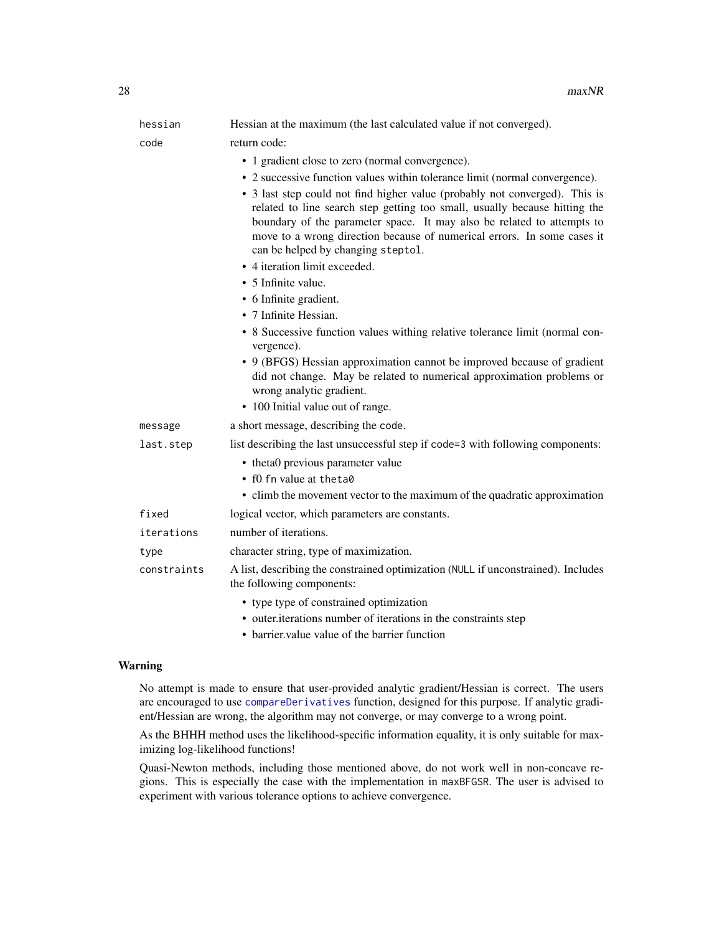<span id="page-27-0"></span>

| hessian | Hessian at the maximum (the last calculated value if not converged).                                                                                                                                                                                                                                                                                 |
|---------|------------------------------------------------------------------------------------------------------------------------------------------------------------------------------------------------------------------------------------------------------------------------------------------------------------------------------------------------------|
| code    | return code:                                                                                                                                                                                                                                                                                                                                         |
|         | • 1 gradient close to zero (normal convergence).                                                                                                                                                                                                                                                                                                     |
|         | • 2 successive function values within tolerance limit (normal convergence).                                                                                                                                                                                                                                                                          |
|         | • 3 last step could not find higher value (probably not converged). This is<br>related to line search step getting too small, usually because hitting the<br>boundary of the parameter space. It may also be related to attempts to<br>move to a wrong direction because of numerical errors. In some cases it<br>can be helped by changing steptol. |

- 4 iteration limit exceeded.
- 5 Infinite value.
- 6 Infinite gradient.
- 7 Infinite Hessian.
- 8 Successive function values withing relative tolerance limit (normal convergence).
- 9 (BFGS) Hessian approximation cannot be improved because of gradient did not change. May be related to numerical approximation problems or wrong analytic gradient.
- 100 Initial value out of range.
- message a short message, describing the code.

last.step list describing the last unsuccessful step if code=3 with following components:

- theta0 previous parameter value
	- f0 fn value at theta0
	- climb the movement vector to the maximum of the quadratic approximation

fixed logical vector, which parameters are constants.

- iterations number of iterations.
- type character string, type of maximization.

constraints A list, describing the constrained optimization (NULL if unconstrained). Includes the following components:

- type type of constrained optimization
- outer.iterations number of iterations in the constraints step
- barrier.value value of the barrier function

#### Warning

No attempt is made to ensure that user-provided analytic gradient/Hessian is correct. The users are encouraged to use [compareDerivatives](#page-6-1) function, designed for this purpose. If analytic gradient/Hessian are wrong, the algorithm may not converge, or may converge to a wrong point.

As the BHHH method uses the likelihood-specific information equality, it is only suitable for maximizing log-likelihood functions!

Quasi-Newton methods, including those mentioned above, do not work well in non-concave regions. This is especially the case with the implementation in maxBFGSR. The user is advised to experiment with various tolerance options to achieve convergence.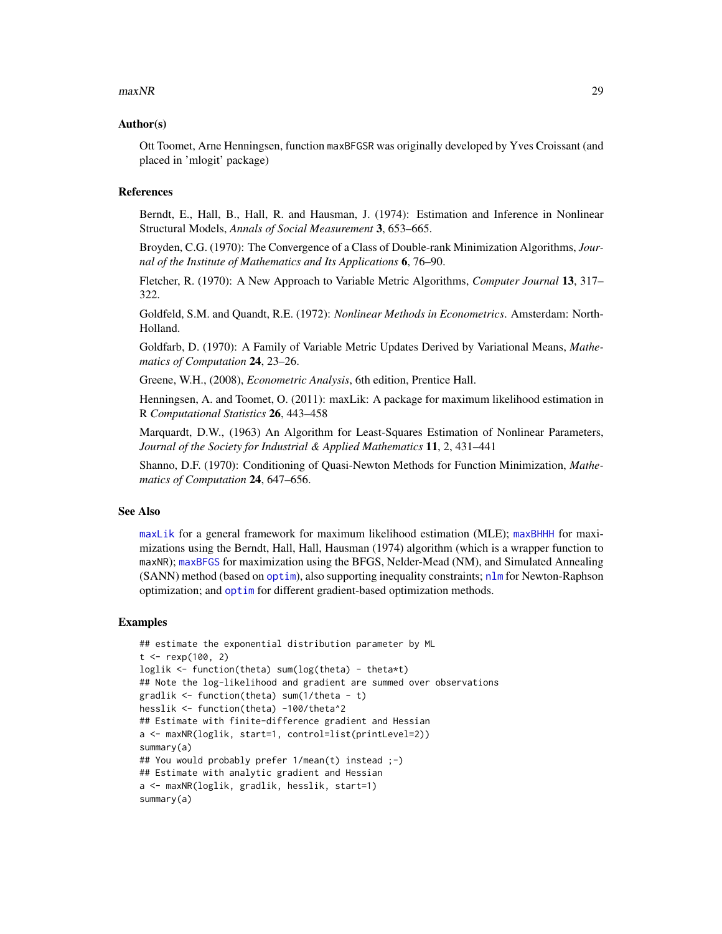#### <span id="page-28-0"></span> $maxNR$  29

#### Author(s)

Ott Toomet, Arne Henningsen, function maxBFGSR was originally developed by Yves Croissant (and placed in 'mlogit' package)

#### References

Berndt, E., Hall, B., Hall, R. and Hausman, J. (1974): Estimation and Inference in Nonlinear Structural Models, *Annals of Social Measurement* 3, 653–665.

Broyden, C.G. (1970): The Convergence of a Class of Double-rank Minimization Algorithms, *Journal of the Institute of Mathematics and Its Applications* 6, 76–90.

Fletcher, R. (1970): A New Approach to Variable Metric Algorithms, *Computer Journal* 13, 317– 322.

Goldfeld, S.M. and Quandt, R.E. (1972): *Nonlinear Methods in Econometrics*. Amsterdam: North-Holland.

Goldfarb, D. (1970): A Family of Variable Metric Updates Derived by Variational Means, *Mathematics of Computation* 24, 23–26.

Greene, W.H., (2008), *Econometric Analysis*, 6th edition, Prentice Hall.

Henningsen, A. and Toomet, O. (2011): maxLik: A package for maximum likelihood estimation in R *Computational Statistics* 26, 443–458

Marquardt, D.W., (1963) An Algorithm for Least-Squares Estimation of Nonlinear Parameters, *Journal of the Society for Industrial & Applied Mathematics* 11, 2, 431–441

Shanno, D.F. (1970): Conditioning of Quasi-Newton Methods for Function Minimization, *Mathematics of Computation* 24, 647–656.

#### See Also

[maxLik](#page-22-1) for a general framework for maximum likelihood estimation (MLE); [maxBHHH](#page-24-1) for maximizations using the Berndt, Hall, Hall, Hausman (1974) algorithm (which is a wrapper function to maxNR); [maxBFGS](#page-15-1) for maximization using the BFGS, Nelder-Mead (NM), and Simulated Annealing (SANN) method (based on [optim](#page-0-0)), also supporting inequality constraints; [nlm](#page-0-0) for Newton-Raphson optimization; and [optim](#page-0-0) for different gradient-based optimization methods.

```
## estimate the exponential distribution parameter by ML
t <- rexp(100, 2)
loglik <- function(theta) sum(log(theta) - theta*t)
## Note the log-likelihood and gradient are summed over observations
gradlik <- function(theta) sum(1/theta - t)
hesslik <- function(theta) -100/theta^2
## Estimate with finite-difference gradient and Hessian
a <- maxNR(loglik, start=1, control=list(printLevel=2))
summary(a)
## You would probably prefer 1/mean(t) instead ;-)
## Estimate with analytic gradient and Hessian
a <- maxNR(loglik, gradlik, hesslik, start=1)
summary(a)
```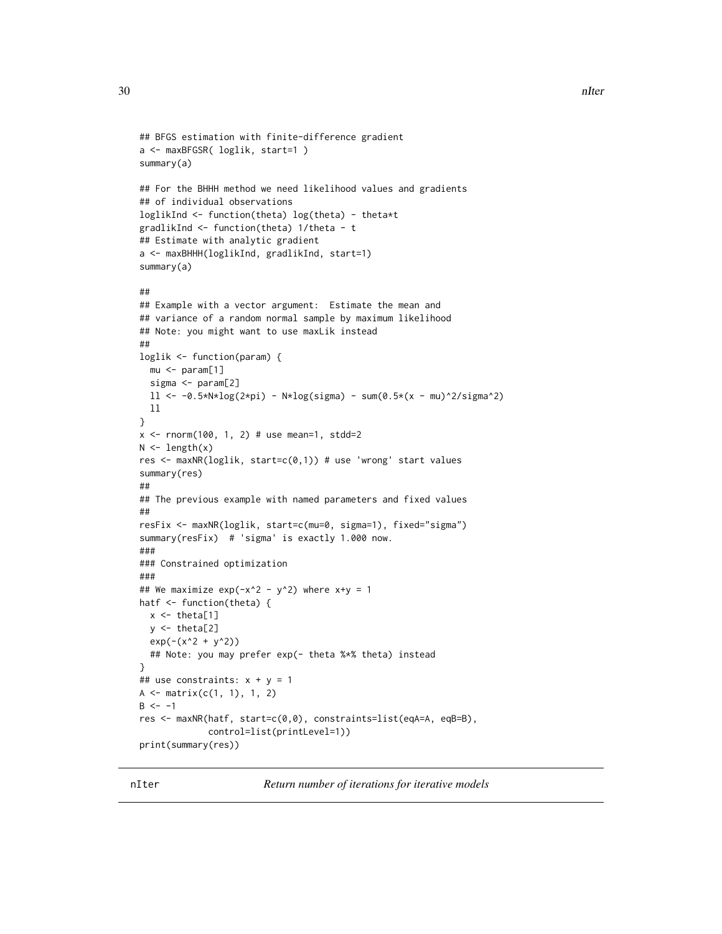```
## BFGS estimation with finite-difference gradient
a <- maxBFGSR( loglik, start=1 )
summary(a)
## For the BHHH method we need likelihood values and gradients
## of individual observations
loglikInd <- function(theta) log(theta) - theta*t
gradlikInd <- function(theta) 1/theta - t
## Estimate with analytic gradient
a <- maxBHHH(loglikInd, gradlikInd, start=1)
summary(a)
##
## Example with a vector argument: Estimate the mean and
## variance of a random normal sample by maximum likelihood
## Note: you might want to use maxLik instead
##
loglik <- function(param) {
  mu <- param[1]
  sigma <- param[2]
  11 \le -0.5*N*log(2*pi) - N*log(sigma) - sum(0.5*(x - mu)^2/sigma^2)11}
x \le - rnorm(100, 1, 2) # use mean=1, stdd=2
N \leftarrow length(x)res <- maxNR(loglik, start=c(0,1)) # use 'wrong' start values
summary(res)
##
## The previous example with named parameters and fixed values
##
resFix <- maxNR(loglik, start=c(mu=0, sigma=1), fixed="sigma")
summary(resFix) # 'sigma' is exactly 1.000 now.
###
### Constrained optimization
###
## We maximize exp(-x^2 - y^2) where x+y = 1hatf <- function(theta) {
  x \leftarrow \text{theta}[1]y \leftarrow \text{theta}[2]exp(-(x^2 + y^2))## Note: you may prefer exp(- theta %*% theta) instead
}
## use constraints: x + y = 1A \leftarrow matrix(c(1, 1), 1, 2)B < - -1res <- maxNR(hatf, start=c(0,0), constraints=list(eqA=A, eqB=B),
             control=list(printLevel=1))
print(summary(res))
```
nIter *Return number of iterations for iterative models*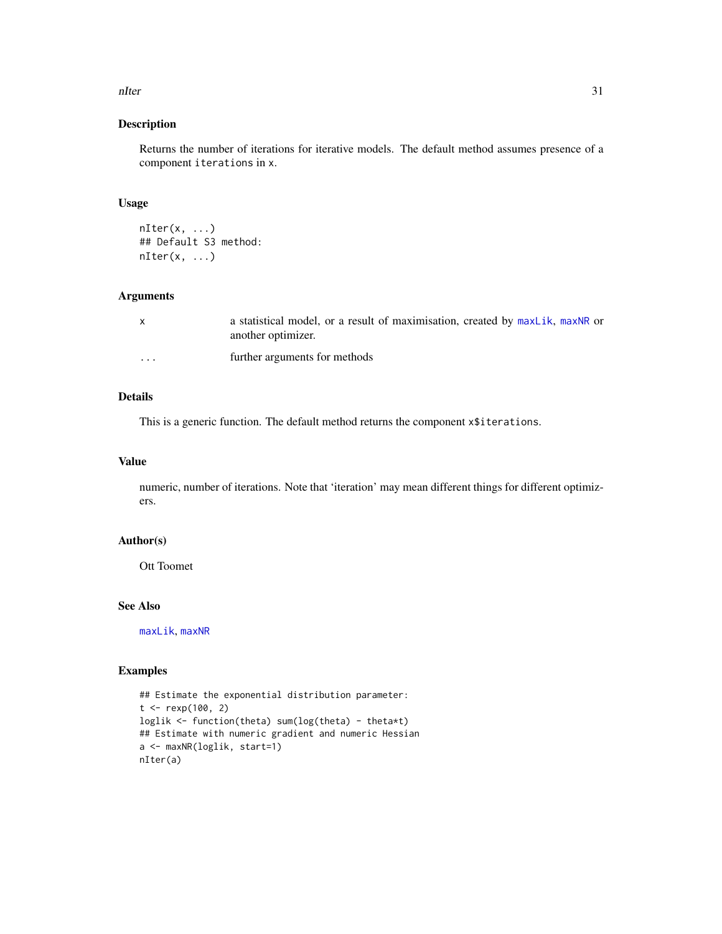#### <span id="page-30-0"></span>nIter 31

#### Description

Returns the number of iterations for iterative models. The default method assumes presence of a component iterations in x.

#### Usage

```
nIter(x, \ldots)## Default S3 method:
nIter(x, \ldots)
```
#### Arguments

| $\mathsf{x}$ | a statistical model, or a result of maximisation, created by maxLik, maxNR or<br>another optimizer. |
|--------------|-----------------------------------------------------------------------------------------------------|
| $\cdots$     | further arguments for methods                                                                       |

## Details

This is a generic function. The default method returns the component x\$iterations.

#### Value

numeric, number of iterations. Note that 'iteration' may mean different things for different optimizers.

#### Author(s)

Ott Toomet

#### See Also

[maxLik](#page-22-1), [maxNR](#page-24-2)

```
## Estimate the exponential distribution parameter:
t < - rexp(100, 2)
loglik <- function(theta) sum(log(theta) - theta*t)
## Estimate with numeric gradient and numeric Hessian
a <- maxNR(loglik, start=1)
nIter(a)
```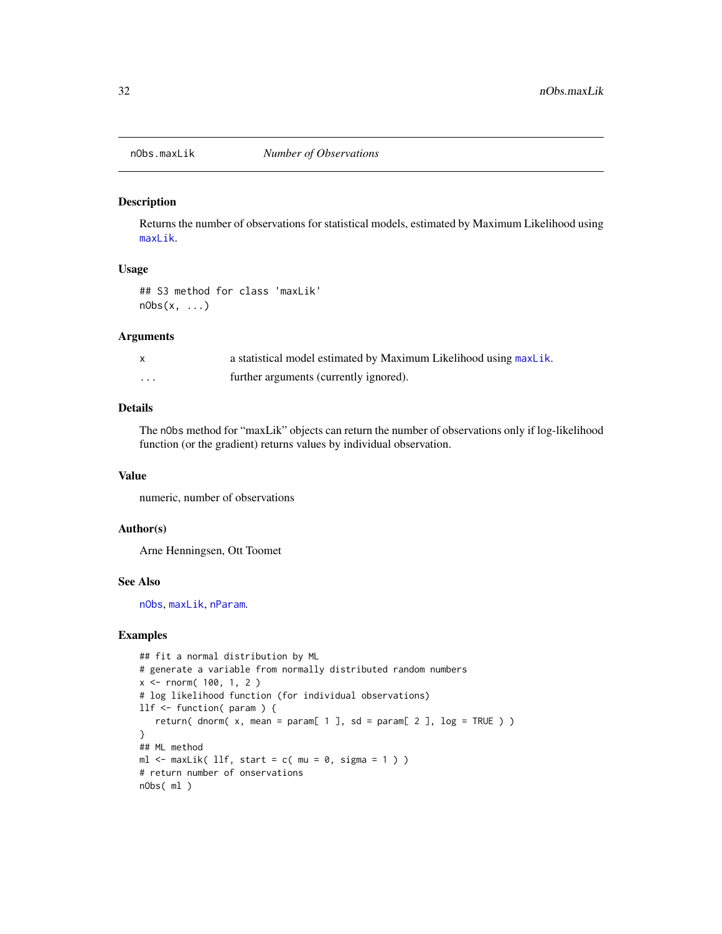<span id="page-31-0"></span>

#### Description

Returns the number of observations for statistical models, estimated by Maximum Likelihood using [maxLik](#page-22-1).

#### Usage

## S3 method for class 'maxLik'  $nObs(x, \ldots)$ 

#### Arguments

|   | a statistical model estimated by Maximum Likelihood using maxLik. |
|---|-------------------------------------------------------------------|
| . | further arguments (currently ignored).                            |

#### Details

The nObs method for "maxLik" objects can return the number of observations only if log-likelihood function (or the gradient) returns values by individual observation.

#### Value

numeric, number of observations

#### Author(s)

Arne Henningsen, Ott Toomet

#### See Also

[nObs](#page-0-0), [maxLik](#page-22-1), [nParam](#page-0-0).

```
## fit a normal distribution by ML
# generate a variable from normally distributed random numbers
x \le - rnorm( 100, 1, 2)
# log likelihood function (for individual observations)
llf <- function( param ) {
   return( dnorm( x, mean = param[ 1 ], sd = param[ 2 ], log = TRUE ) )
}
## ML method
ml \le maxLik( llf, start = c( mu = 0, sigma = 1 ) )
# return number of onservations
nObs( ml )
```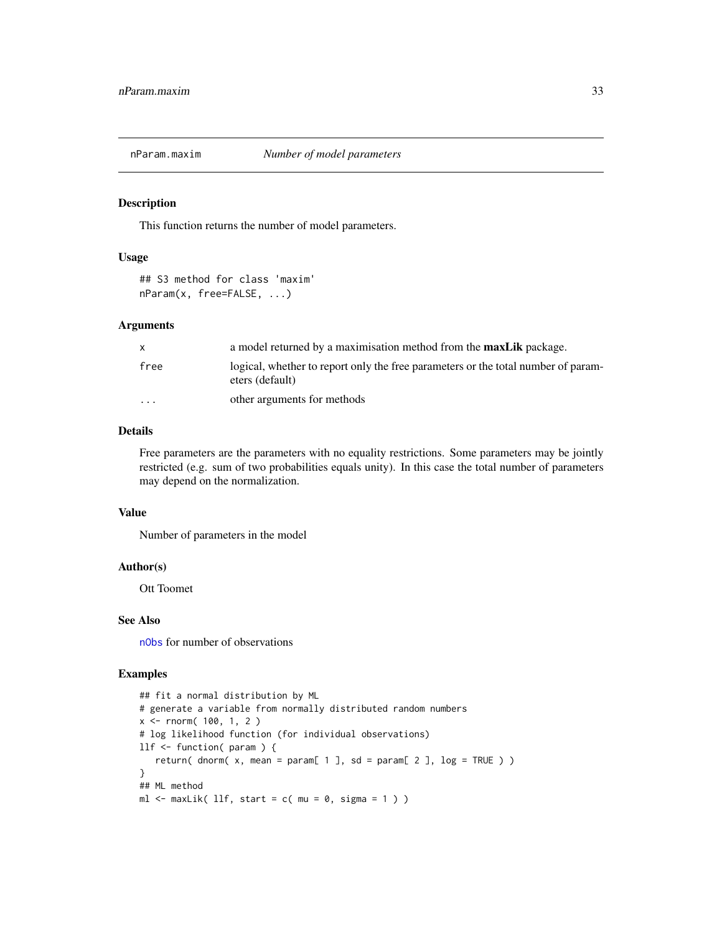<span id="page-32-0"></span>

#### Description

This function returns the number of model parameters.

#### Usage

```
## S3 method for class 'maxim'
nParam(x, free=FALSE, ...)
```
#### Arguments

| X        | a model returned by a maximisation method from the <b>maxLik</b> package.                            |
|----------|------------------------------------------------------------------------------------------------------|
| free     | logical, whether to report only the free parameters or the total number of param-<br>eters (default) |
| $\cdots$ | other arguments for methods                                                                          |

#### Details

Free parameters are the parameters with no equality restrictions. Some parameters may be jointly restricted (e.g. sum of two probabilities equals unity). In this case the total number of parameters may depend on the normalization.

#### Value

Number of parameters in the model

#### Author(s)

Ott Toomet

#### See Also

[nObs](#page-0-0) for number of observations

```
## fit a normal distribution by ML
# generate a variable from normally distributed random numbers
x \le - rnorm( 100, 1, 2)
# log likelihood function (for individual observations)
llf <- function( param ) {
   return( dnorm( x, mean = param[ 1 ], sd = param[ 2 ], log = TRUE ) )
}
## ML method
ml \le maxLik( llf, start = c( mu = 0, sigma = 1 ) )
```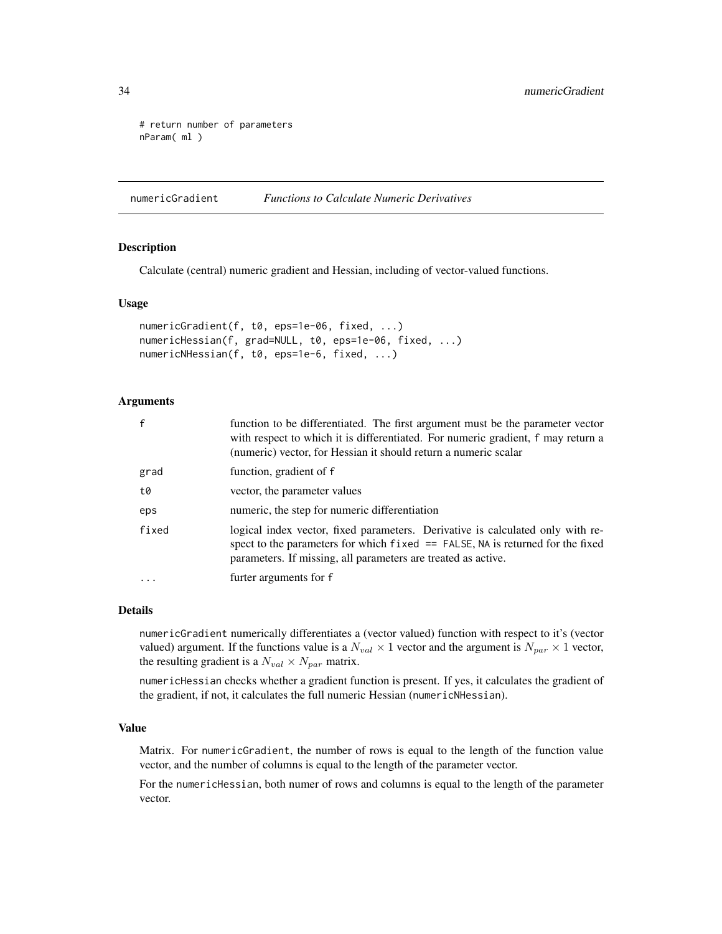```
# return number of parameters
nParam( ml )
```
<span id="page-33-1"></span>numericGradient *Functions to Calculate Numeric Derivatives*

#### Description

Calculate (central) numeric gradient and Hessian, including of vector-valued functions.

#### Usage

```
numericGradient(f, t0, eps=1e-06, fixed, ...)
numericHessian(f, grad=NULL, t0, eps=1e-06, fixed, ...)
numericNHessian(f, t0, eps=1e-6, fixed, ...)
```
#### Arguments

| $\mathbf{f}$ | function to be differentiated. The first argument must be the parameter vector<br>with respect to which it is differentiated. For numeric gradient, f may return a<br>(numeric) vector, for Hessian it should return a numeric scalar |
|--------------|---------------------------------------------------------------------------------------------------------------------------------------------------------------------------------------------------------------------------------------|
| grad         | function, gradient of f                                                                                                                                                                                                               |
| t0           | vector, the parameter values                                                                                                                                                                                                          |
| eps          | numeric, the step for numeric differentiation                                                                                                                                                                                         |
| fixed        | logical index vector, fixed parameters. Derivative is calculated only with re-<br>spect to the parameters for which $fixed =$ FALSE, NA is returned for the fixed<br>parameters. If missing, all parameters are treated as active.    |
|              | furter arguments for f                                                                                                                                                                                                                |

#### Details

numericGradient numerically differentiates a (vector valued) function with respect to it's (vector valued) argument. If the functions value is a  $N_{val} \times 1$  vector and the argument is  $N_{par} \times 1$  vector, the resulting gradient is a  $N_{val} \times N_{par}$  matrix.

numericHessian checks whether a gradient function is present. If yes, it calculates the gradient of the gradient, if not, it calculates the full numeric Hessian (numericNHessian).

#### Value

Matrix. For numericGradient, the number of rows is equal to the length of the function value vector, and the number of columns is equal to the length of the parameter vector.

For the numericHessian, both numer of rows and columns is equal to the length of the parameter vector.

<span id="page-33-0"></span>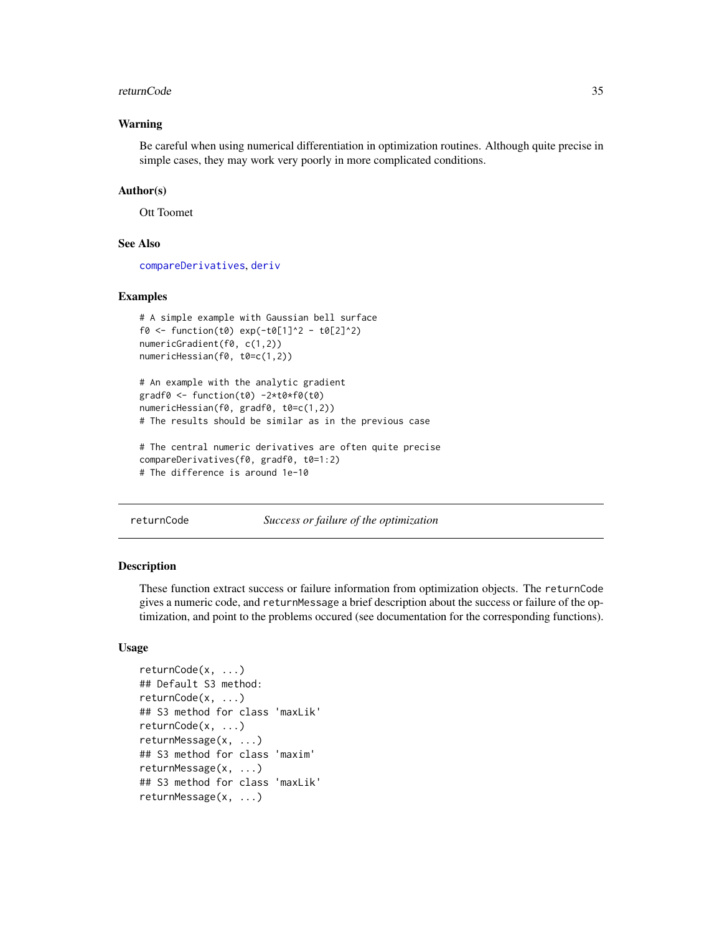#### <span id="page-34-0"></span>returnCode 35

#### Warning

Be careful when using numerical differentiation in optimization routines. Although quite precise in simple cases, they may work very poorly in more complicated conditions.

#### Author(s)

Ott Toomet

#### See Also

[compareDerivatives](#page-6-1), [deriv](#page-0-0)

#### Examples

```
# A simple example with Gaussian bell surface
f0 <- function(t0) exp(-t0[1]^2 - t0[2]^2)
numericGradient(f0, c(1,2))
numericHessian(f0, t0=c(1,2))
```

```
# An example with the analytic gradient
gradf0 <- function(t0) -2*t0*f0(t0)
numericHessian(f0, gradf0, t0=c(1,2))
# The results should be similar as in the previous case
```

```
# The central numeric derivatives are often quite precise
compareDerivatives(f0, gradf0, t0=1:2)
# The difference is around 1e-10
```
<span id="page-34-1"></span>returnCode *Success or failure of the optimization*

#### <span id="page-34-2"></span>**Description**

These function extract success or failure information from optimization objects. The returnCode gives a numeric code, and returnMessage a brief description about the success or failure of the optimization, and point to the problems occured (see documentation for the corresponding functions).

#### Usage

```
returnCode(x, ...)
## Default S3 method:
returnCode(x, ...)
## S3 method for class 'maxLik'
returnCode(x, ...)
returnMessage(x, ...)
## S3 method for class 'maxim'
returnMessage(x, ...)
## S3 method for class 'maxLik'
returnMessage(x, ...)
```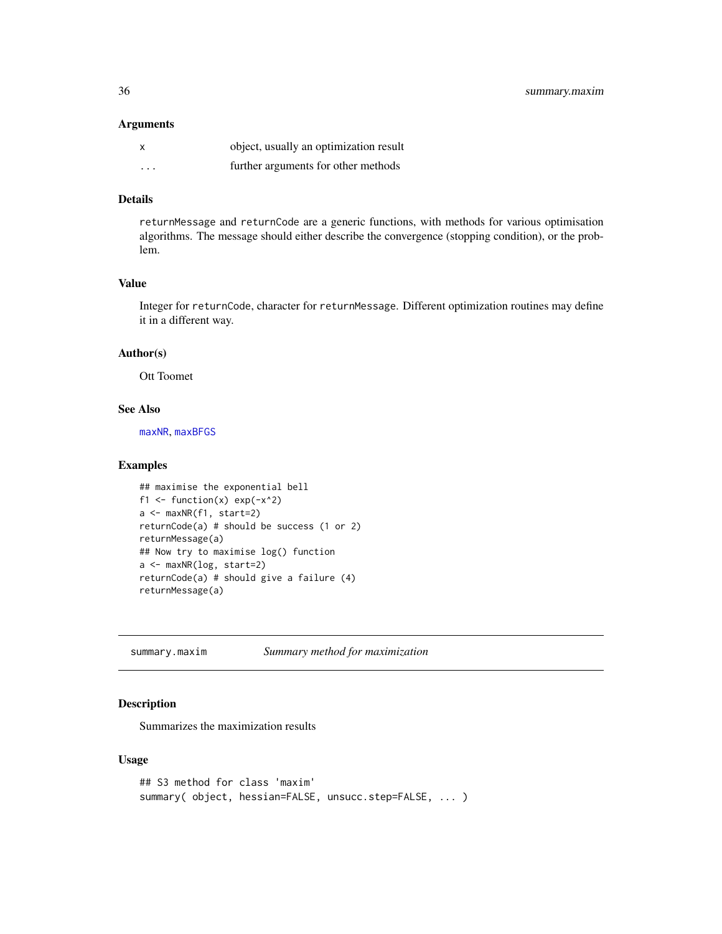#### <span id="page-35-0"></span>Arguments

|         | object, usually an optimization result |
|---------|----------------------------------------|
| $\cdot$ | further arguments for other methods    |

#### Details

returnMessage and returnCode are a generic functions, with methods for various optimisation algorithms. The message should either describe the convergence (stopping condition), or the problem.

#### Value

Integer for returnCode, character for returnMessage. Different optimization routines may define it in a different way.

#### Author(s)

Ott Toomet

#### See Also

[maxNR](#page-24-2), [maxBFGS](#page-15-1)

#### Examples

```
## maximise the exponential bell
f1 <- function(x) exp(-x^2)a <- maxNR(f1, start=2)
returnCode(a) # should be success (1 or 2)
returnMessage(a)
## Now try to maximise log() function
a <- maxNR(log, start=2)
returnCode(a) # should give a failure (4)
returnMessage(a)
```
summary.maxim *Summary method for maximization*

#### Description

Summarizes the maximization results

#### Usage

```
## S3 method for class 'maxim'
summary( object, hessian=FALSE, unsucc.step=FALSE, ... )
```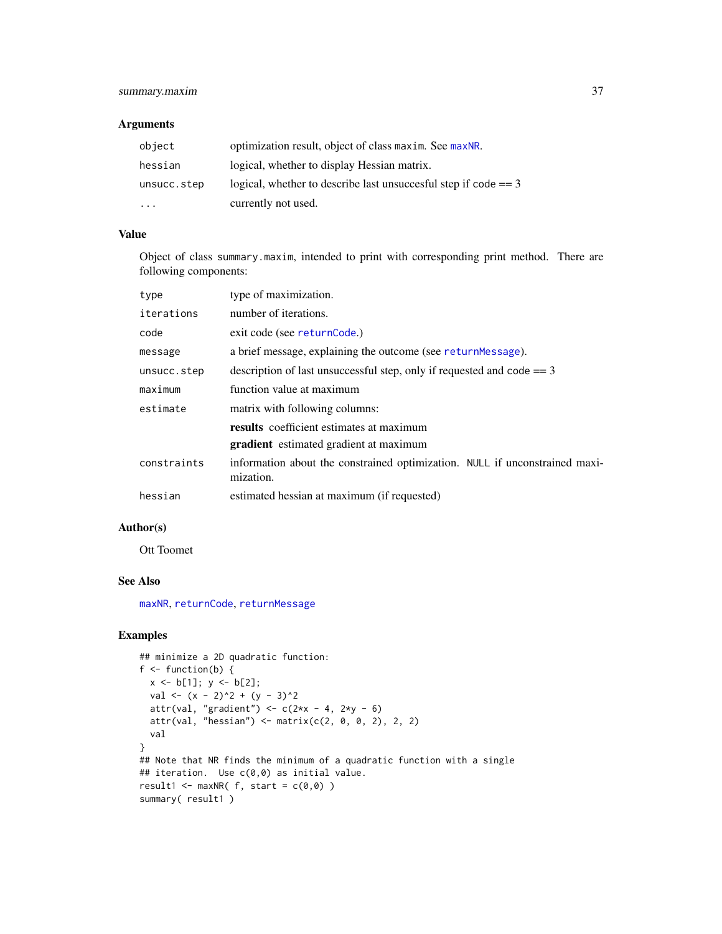#### <span id="page-36-0"></span>summary.maxim 37

#### Arguments

| object      | optimization result, object of class maxim. See maxNR.            |
|-------------|-------------------------------------------------------------------|
| hessian     | logical, whether to display Hessian matrix.                       |
| unsucc.step | logical, whether to describe last unsuccesful step if $code == 3$ |
| $\cdots$    | currently not used.                                               |

#### Value

Object of class summary.maxim, intended to print with corresponding print method. There are following components:

| type        | type of maximization.                                                                    |
|-------------|------------------------------------------------------------------------------------------|
| iterations  | number of iterations.                                                                    |
| code        | exit code (see returnCode.)                                                              |
| message     | a brief message, explaining the outcome (see returnMessage).                             |
| unsucc.step | description of last unsuccessful step, only if requested and code $== 3$                 |
| maximum     | function value at maximum                                                                |
| estimate    | matrix with following columns:                                                           |
|             | results coefficient estimates at maximum                                                 |
|             | <b>gradient</b> estimated gradient at maximum                                            |
| constraints | information about the constrained optimization. NULL if unconstrained maxi-<br>mization. |
| hessian     | estimated hessian at maximum (if requested)                                              |

#### Author(s)

Ott Toomet

#### See Also

[maxNR](#page-24-2), [returnCode](#page-34-1), [returnMessage](#page-34-2)

```
## minimize a 2D quadratic function:
f \leftarrow function(b) {
 x \le b[1]; y \le b[2];val <- (x - 2)^2 + (y - 3)^2attr(val, "gradient") <- c(2*x - 4, 2*y - 6)attr(va1, "hessian") \leftarrow matrix(c(2, 0, 0, 2), 2, 2)val
}
## Note that NR finds the minimum of a quadratic function with a single
## iteration. Use c(0,0) as initial value.
result1 <- maxNR(f, start = c(0,0))summary( result1)
```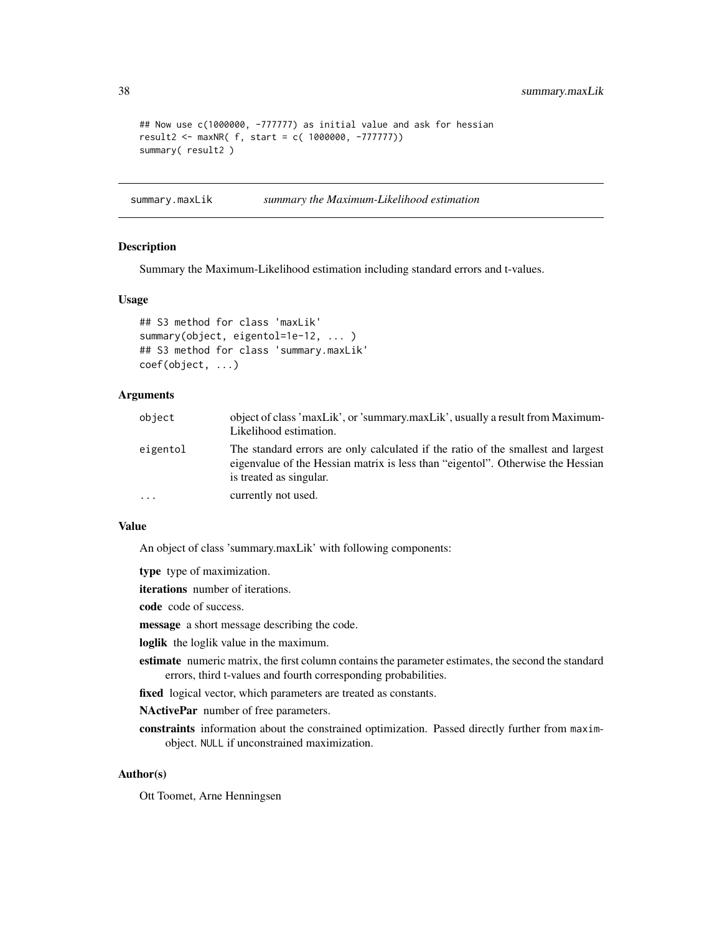```
## Now use c(1000000, -777777) as initial value and ask for hessian
result2 <- maxNR( f, start = c( 1000000, -777777))
summary( result2 )
```
summary.maxLik *summary the Maximum-Likelihood estimation*

#### Description

Summary the Maximum-Likelihood estimation including standard errors and t-values.

#### Usage

```
## S3 method for class 'maxLik'
summary(object, eigentol=1e-12, ... )
## S3 method for class 'summary.maxLik'
coef(object, ...)
```
#### Arguments

| object   | object of class 'maxLik', or 'summary.maxLik', usually a result from Maximum-<br>Likelihood estimation.                                                                                        |
|----------|------------------------------------------------------------------------------------------------------------------------------------------------------------------------------------------------|
| eigentol | The standard errors are only calculated if the ratio of the smallest and largest<br>eigenvalue of the Hessian matrix is less than "eigentol". Otherwise the Hessian<br>is treated as singular. |
| $\cdots$ | currently not used.                                                                                                                                                                            |

#### Value

An object of class 'summary.maxLik' with following components:

type type of maximization.

iterations number of iterations.

code code of success.

message a short message describing the code.

loglik the loglik value in the maximum.

- estimate numeric matrix, the first column contains the parameter estimates, the second the standard errors, third t-values and fourth corresponding probabilities.
- fixed logical vector, which parameters are treated as constants.

NActivePar number of free parameters.

constraints information about the constrained optimization. Passed directly further from maximobject. NULL if unconstrained maximization.

#### Author(s)

Ott Toomet, Arne Henningsen

<span id="page-37-0"></span>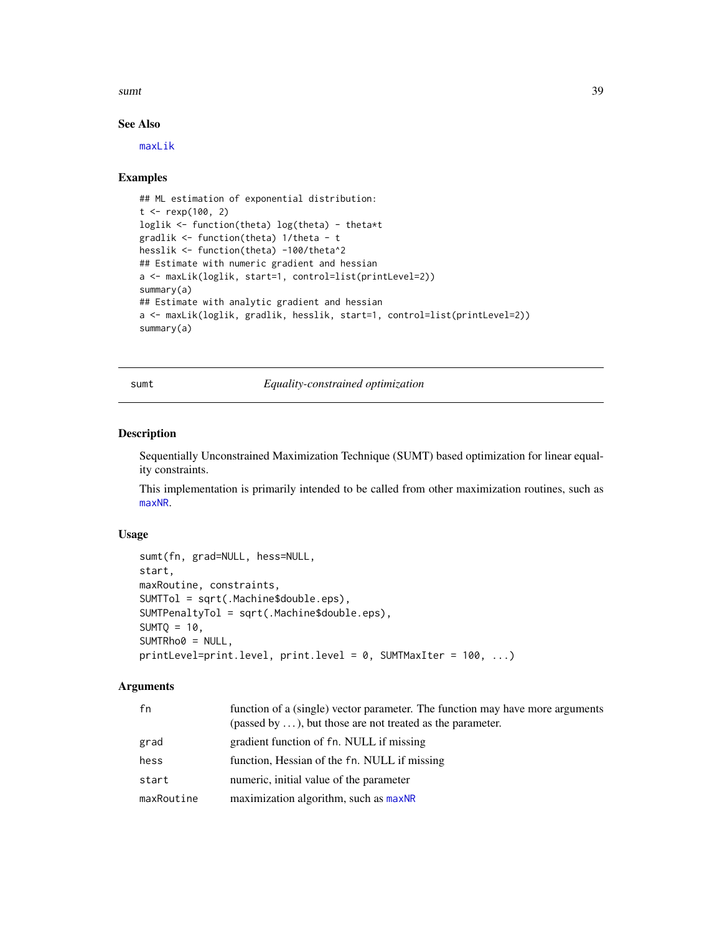#### <span id="page-38-0"></span>sumt 39

#### See Also

[maxLik](#page-22-1)

#### Examples

```
## ML estimation of exponential distribution:
t < - rexp(100, 2)
loglik <- function(theta) log(theta) - theta*t
gradlik <- function(theta) 1/theta - t
hesslik <- function(theta) -100/theta^2
## Estimate with numeric gradient and hessian
a <- maxLik(loglik, start=1, control=list(printLevel=2))
summary(a)
## Estimate with analytic gradient and hessian
a <- maxLik(loglik, gradlik, hesslik, start=1, control=list(printLevel=2))
summary(a)
```
#### <span id="page-38-1"></span>sumt *Equality-constrained optimization*

#### Description

Sequentially Unconstrained Maximization Technique (SUMT) based optimization for linear equality constraints.

This implementation is primarily intended to be called from other maximization routines, such as [maxNR](#page-24-2).

#### Usage

```
sumt(fn, grad=NULL, hess=NULL,
start,
maxRoutine, constraints,
SUMTTol = sqrt(.Machine$double.eps),
SUMTPenaltyTol = sqrt(.Machine$double.eps),
SUMTQ = 10,
SUMTRho0 = NULL,
printLevel=print.level, print.level = 0, SUMTMaxIter = 100, ...)
```
#### Arguments

| fn         | function of a (single) vector parameter. The function may have more arguments<br>(passed by $\dots$ ), but those are not treated as the parameter. |
|------------|----------------------------------------------------------------------------------------------------------------------------------------------------|
| grad       | gradient function of fn. NULL if missing                                                                                                           |
| hess       | function, Hessian of the fn. NULL if missing                                                                                                       |
| start      | numeric, initial value of the parameter                                                                                                            |
| maxRoutine | maximization algorithm, such as maxNR                                                                                                              |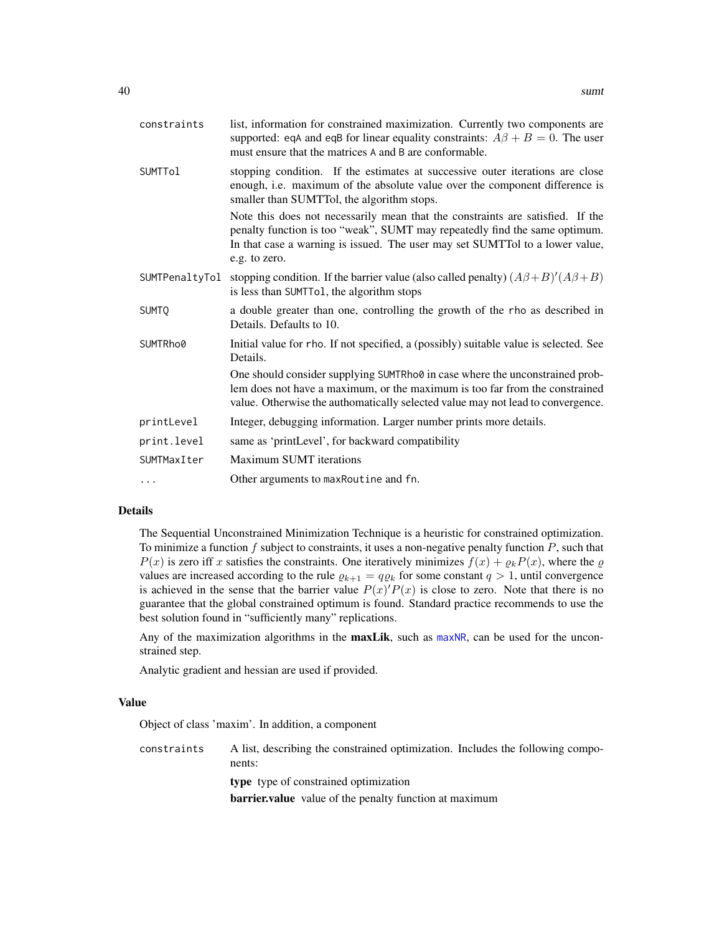<span id="page-39-0"></span>

| constraints    | list, information for constrained maximization. Currently two components are<br>supported: eqA and eqB for linear equality constraints: $A\beta + B = 0$ . The user<br>must ensure that the matrices A and B are conformable.                                 |
|----------------|---------------------------------------------------------------------------------------------------------------------------------------------------------------------------------------------------------------------------------------------------------------|
| <b>SUMTTol</b> | stopping condition. If the estimates at successive outer iterations are close<br>enough, i.e. maximum of the absolute value over the component difference is<br>smaller than SUMTTol, the algorithm stops.                                                    |
|                | Note this does not necessarily mean that the constraints are satisfied. If the<br>penalty function is too "weak", SUMT may repeatedly find the same optimum.<br>In that case a warning is issued. The user may set SUMTTol to a lower value,<br>e.g. to zero. |
|                | SUMTPenaltyTol stopping condition. If the barrier value (also called penalty) $(A\beta + B)'(A\beta + B)$<br>is less than SUMTTo1, the algorithm stops                                                                                                        |
| <b>SUMTO</b>   | a double greater than one, controlling the growth of the rho as described in<br>Details. Defaults to 10.                                                                                                                                                      |
| SUMTRho0       | Initial value for rho. If not specified, a (possibly) suitable value is selected. See<br>Details.                                                                                                                                                             |
|                | One should consider supplying SUMTRho0 in case where the unconstrained prob-<br>lem does not have a maximum, or the maximum is too far from the constrained<br>value. Otherwise the authomatically selected value may not lead to convergence.                |
| printLevel     | Integer, debugging information. Larger number prints more details.                                                                                                                                                                                            |
| print.level    | same as 'printLevel', for backward compatibility                                                                                                                                                                                                              |
| SUMTMaxIter    | <b>Maximum SUMT</b> iterations                                                                                                                                                                                                                                |
|                | Other arguments to max Routine and fn.                                                                                                                                                                                                                        |

#### Details

The Sequential Unconstrained Minimization Technique is a heuristic for constrained optimization. To minimize a function  $f$  subject to constraints, it uses a non-negative penalty function  $P$ , such that  $P(x)$  is zero iff x satisfies the constraints. One iteratively minimizes  $f(x) + \varrho_k P(x)$ , where the  $\varrho$ values are increased according to the rule  $\varrho_{k+1} = q \varrho_k$  for some constant  $q > 1$ , until convergence is achieved in the sense that the barrier value  $P(x)P(x)$  is close to zero. Note that there is no guarantee that the global constrained optimum is found. Standard practice recommends to use the best solution found in "sufficiently many" replications.

Any of the maximization algorithms in the **maxLik**, such as [maxNR](#page-24-2), can be used for the unconstrained step.

Analytic gradient and hessian are used if provided.

#### Value

Object of class 'maxim'. In addition, a component

constraints A list, describing the constrained optimization. Includes the following components: type type of constrained optimization barrier.value value of the penalty function at maximum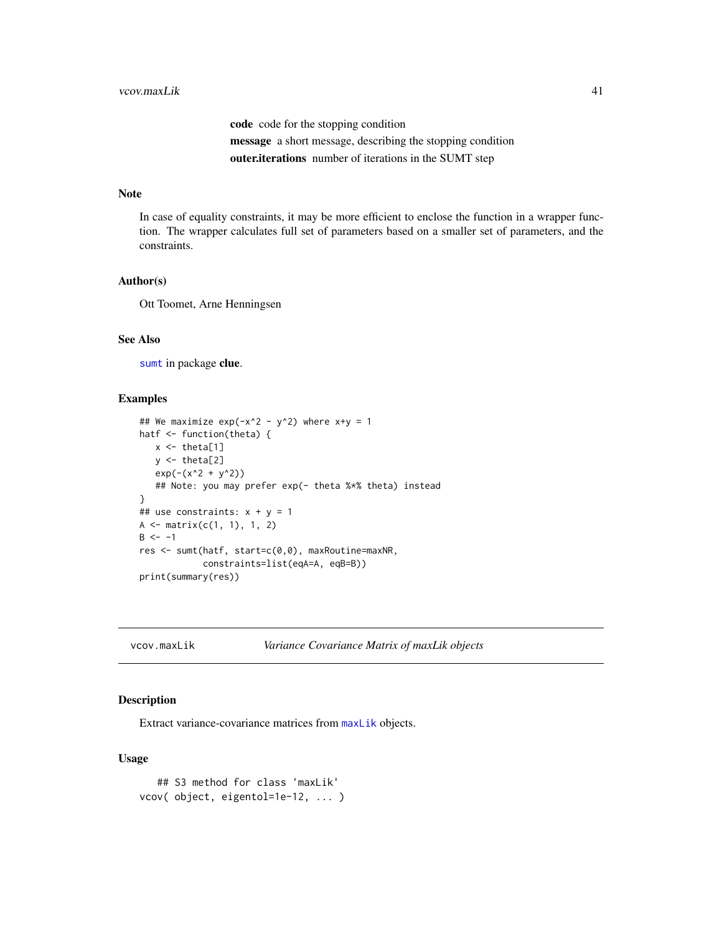code code for the stopping condition message a short message, describing the stopping condition outer.iterations number of iterations in the SUMT step

#### <span id="page-40-0"></span>Note

In case of equality constraints, it may be more efficient to enclose the function in a wrapper function. The wrapper calculates full set of parameters based on a smaller set of parameters, and the constraints.

#### Author(s)

Ott Toomet, Arne Henningsen

#### See Also

[sumt](#page-38-1) in package clue.

#### Examples

```
## We maximize exp(-x^2 - y^2) where x+y = 1hatf <- function(theta) {
   x \leftarrow \text{theta}[1]y \leftarrow \text{theta}[2]exp(-(x^2 + y^2))## Note: you may prefer exp(- theta %*% theta) instead
}
## use constraints: x + y = 1A \leftarrow matrix(c(1, 1), 1, 2)B \le -1res <- sumt(hatf, start=c(0,0), maxRoutine=maxNR,
             constraints=list(eqA=A, eqB=B))
print(summary(res))
```
vcov.maxLik *Variance Covariance Matrix of maxLik objects*

#### Description

Extract variance-covariance matrices from [maxLik](#page-22-1) objects.

#### Usage

```
## S3 method for class 'maxLik'
vcov( object, eigentol=1e-12, ... )
```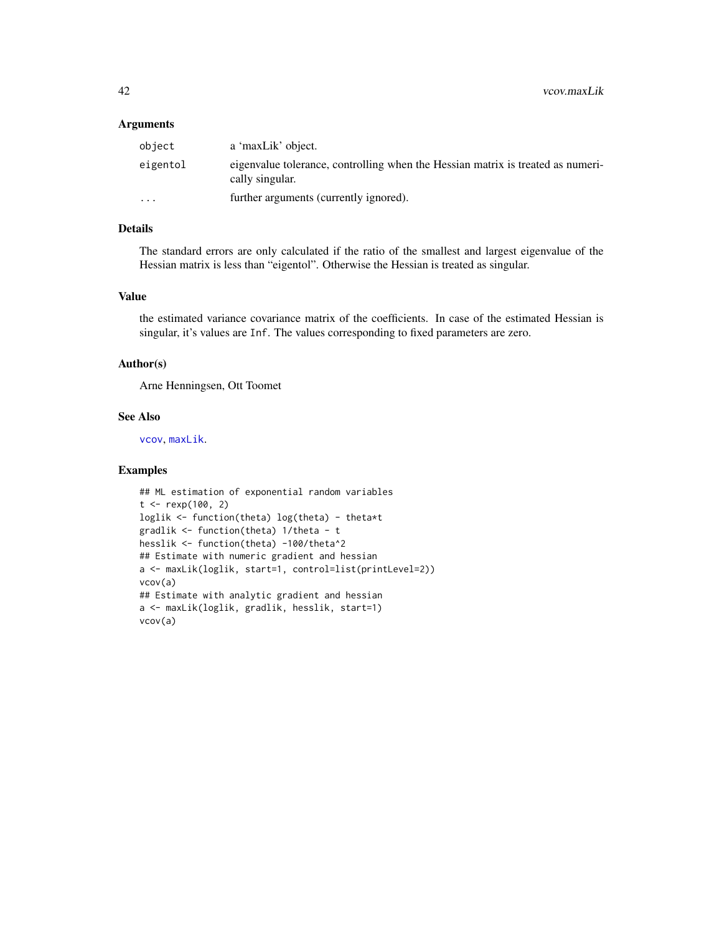#### <span id="page-41-0"></span>Arguments

| object   | a 'maxLik' object.                                                                                 |
|----------|----------------------------------------------------------------------------------------------------|
| eigentol | eigenvalue tolerance, controlling when the Hessian matrix is treated as numeri-<br>cally singular. |
| $\cdots$ | further arguments (currently ignored).                                                             |

#### Details

The standard errors are only calculated if the ratio of the smallest and largest eigenvalue of the Hessian matrix is less than "eigentol". Otherwise the Hessian is treated as singular.

#### Value

the estimated variance covariance matrix of the coefficients. In case of the estimated Hessian is singular, it's values are Inf. The values corresponding to fixed parameters are zero.

#### Author(s)

Arne Henningsen, Ott Toomet

#### See Also

[vcov](#page-0-0), [maxLik](#page-22-1).

```
## ML estimation of exponential random variables
t < - rexp(100, 2)
loglik <- function(theta) log(theta) - theta*t
gradlik <- function(theta) 1/theta - t
hesslik <- function(theta) -100/theta^2
## Estimate with numeric gradient and hessian
a <- maxLik(loglik, start=1, control=list(printLevel=2))
vcov(a)
## Estimate with analytic gradient and hessian
a <- maxLik(loglik, gradlik, hesslik, start=1)
vcov(a)
```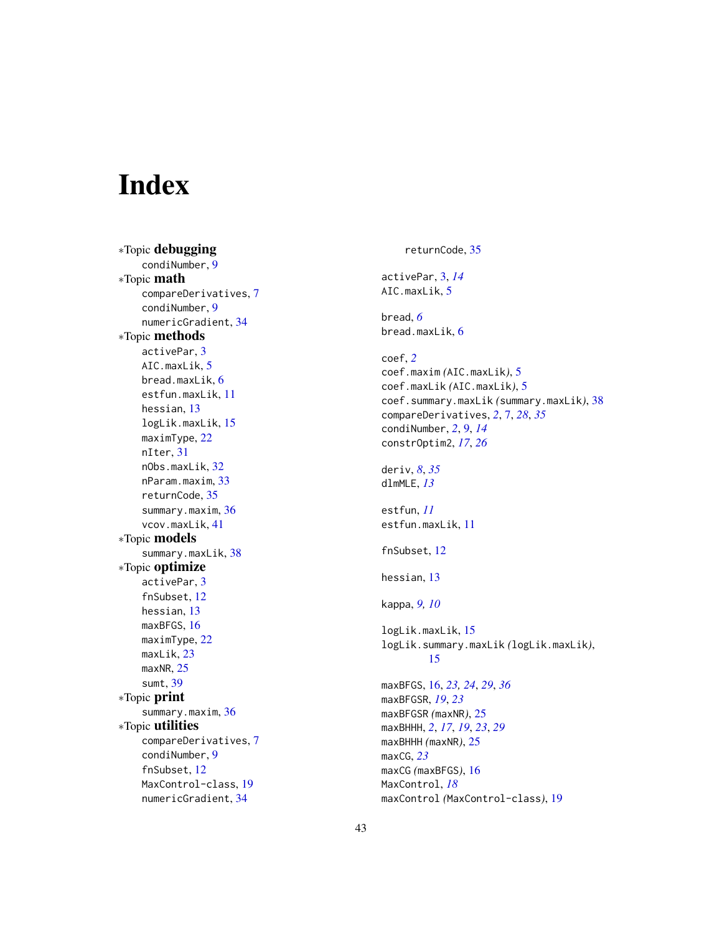# <span id="page-42-0"></span>Index

∗Topic debugging condiNumber , [9](#page-8-0) ∗Topic math compareDerivatives , [7](#page-6-0) condiNumber , [9](#page-8-0) numericGradient , [34](#page-33-0) ∗Topic methods activePar , [3](#page-2-0) AIC.maxLik, [5](#page-4-0) bread.maxLik , [6](#page-5-0) estfun.maxLik , [11](#page-10-0) hessian , [13](#page-12-0) logLik.maxLik , [15](#page-14-0) maximType , [22](#page-21-0) nIter , [31](#page-30-0) nObs.maxLik , [32](#page-31-0) nParam.maxim, [33](#page-32-0) returnCode , [35](#page-34-0) summary.maxim, [36](#page-35-0) vcov.maxLik , [41](#page-40-0) ∗Topic models summary.maxLik, [38](#page-37-0) ∗Topic optimize activePar , [3](#page-2-0) fnSubset , [12](#page-11-0) hessian , [13](#page-12-0) maxBFGS, [16](#page-15-0) maximType , [22](#page-21-0) maxLik , [23](#page-22-0) maxNR, [25](#page-24-0) sumt , [39](#page-38-0) ∗Topic print summary.maxim, [36](#page-35-0) ∗Topic utilities compareDerivatives , [7](#page-6-0) condiNumber , [9](#page-8-0) fnSubset , [12](#page-11-0) MaxControl-class , [19](#page-18-0) numericGradient , [34](#page-33-0)

# returnCode , [35](#page-34-0) activePar , [3](#page-2-0) , *[14](#page-13-0)* AIC.maxLik, <mark>[5](#page-4-0)</mark> bread , *[6](#page-5-0)* bread.maxLik , [6](#page-5-0) coef , *[2](#page-1-0)* coef.maxim *(*AIC.maxLik *)* , [5](#page-4-0) coef.maxLik *(*AIC.maxLik *)* , [5](#page-4-0) coef.summary.maxLik *(*summary.maxLik *)* , [38](#page-37-0) compareDerivatives , *[2](#page-1-0)* , [7](#page-6-0) , *[28](#page-27-0)* , *[35](#page-34-0)* condiNumber , *[2](#page-1-0)* , [9](#page-8-0) , *[14](#page-13-0)* constrOptim2 , *[17](#page-16-0)* , *[26](#page-25-0)* deriv , *[8](#page-7-0)* , *[35](#page-34-0)* dlmMLE , *[13](#page-12-0)* estfun , *[11](#page-10-0)* estfun.maxLik , [11](#page-10-0) fnSubset , [12](#page-11-0) hessian , [13](#page-12-0) kappa , *[9](#page-8-0) , [10](#page-9-0)* logLik.maxLik , [15](#page-14-0) logLik.summary.maxLik *(*logLik.maxLik *)* , [15](#page-14-0) maxBFGS , [16](#page-15-0) , *[23](#page-22-0) , [24](#page-23-0)* , *[29](#page-28-0)* , *[36](#page-35-0)* maxBFGSR , *[19](#page-18-0)* , *[23](#page-22-0)* maxBFGSR *(*maxNR *)* , [25](#page-24-0) maxBHHH , *[2](#page-1-0)* , *[17](#page-16-0)* , *[19](#page-18-0)* , *[23](#page-22-0)* , *[29](#page-28-0)* maxBHHH *(*maxNR *)* , [25](#page-24-0) maxCG , *[23](#page-22-0)* maxCG *(*maxBFGS *)* , [16](#page-15-0) MaxControl , *[18](#page-17-0)*

maxControl *(*MaxControl-class *)* , [19](#page-18-0)